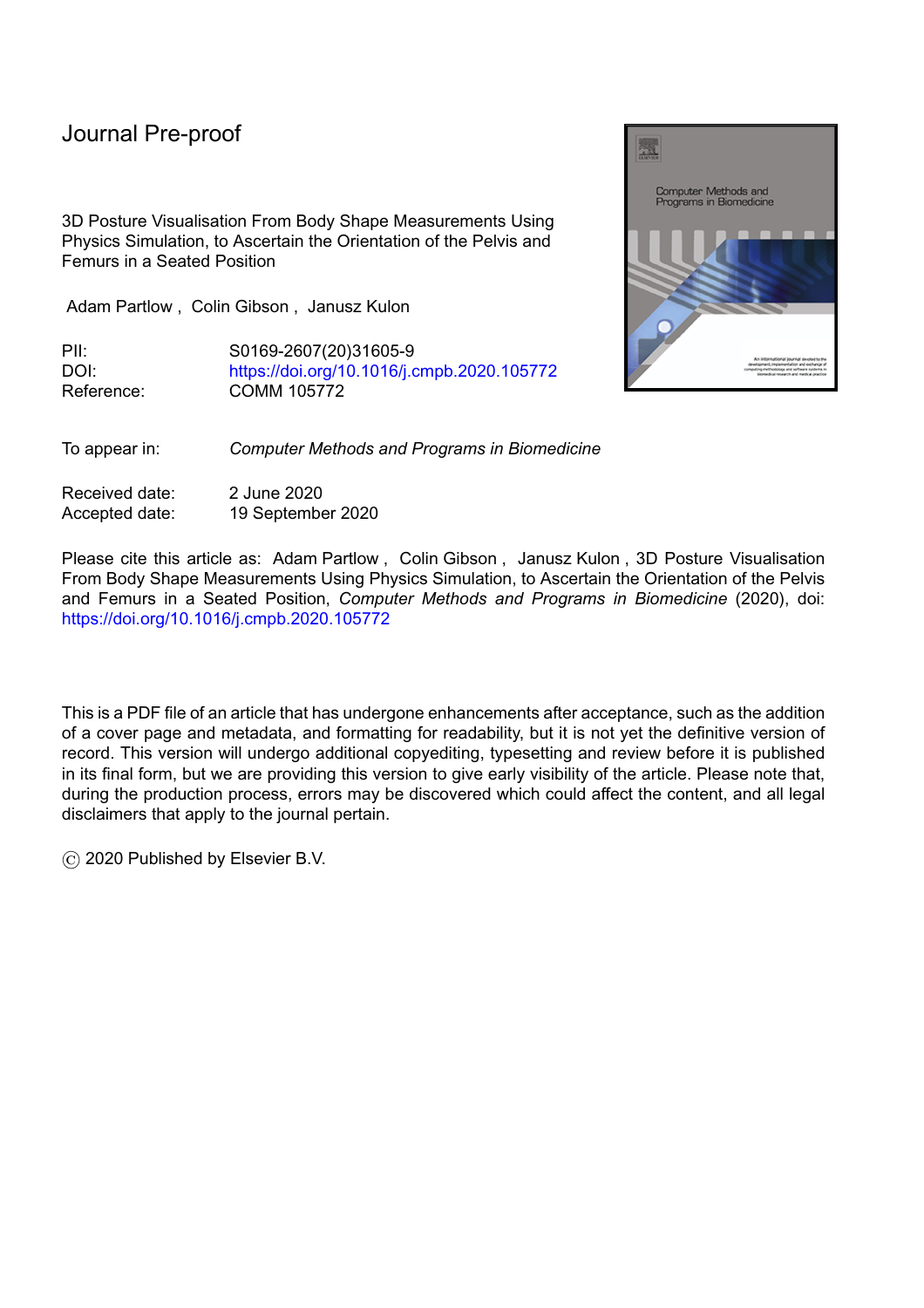# Journal Pre-proof

3D Posture Visualisation From Body Shape Measurements Using Physics Simulation, to Ascertain the Orientation of the Pelvis and Femurs in a Seated Position

Adam Partlow , Colin Gibson , Janusz Kulon

PII: S0169-2607(20)31605-9 DOI: <https://doi.org/10.1016/j.cmpb.2020.105772> Reference: COMM 105772

To appear in: *Computer Methods and Programs in Biomedicine*

Received date: 2 June 2020 Accepted date: 19 September 2020

Please cite this article as: Adam Partlow , Colin Gibson , Janusz Kulon , 3D Posture Visualisation From Body Shape Measurements Using Physics Simulation, to Ascertain the Orientation of the Pelvis and Femurs in a Seated Position, *Computer Methods and Programs in Biomedicine* (2020), doi: <https://doi.org/10.1016/j.cmpb.2020.105772>

This is a PDF file of an article that has undergone enhancements after acceptance, such as the addition of a cover page and metadata, and formatting for readability, but it is not yet the definitive version of record. This version will undergo additional copyediting, typesetting and review before it is published in its final form, but we are providing this version to give early visibility of the article. Please note that, during the production process, errors may be discovered which could affect the content, and all legal disclaimers that apply to the journal pertain.

© 2020 Published by Elsevier B.V.

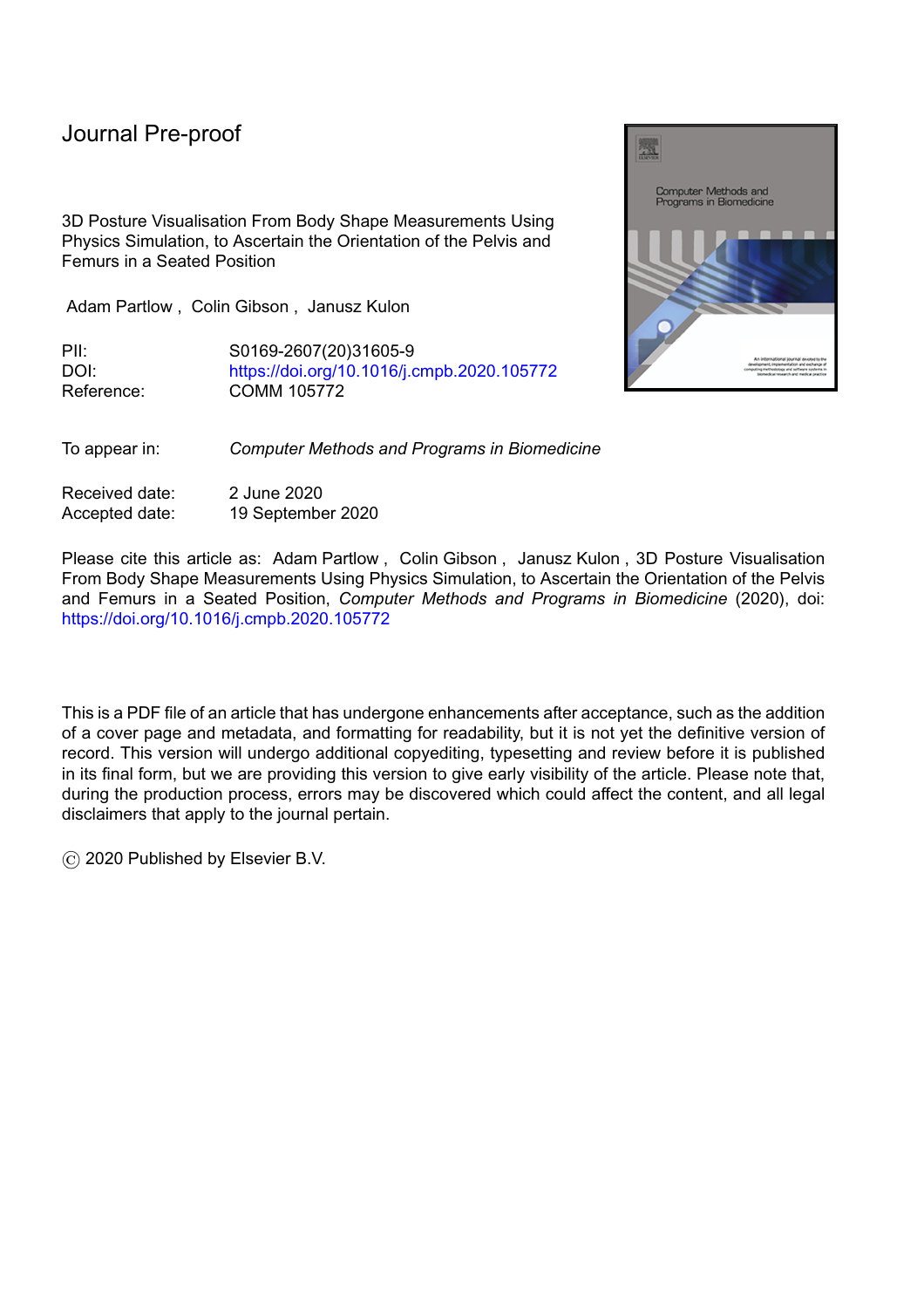#### **Highlights**

- Novel physics simulation can visualise the pelvis and femurs in a seated posture.
- Simulation is an alternative to machine learning when datasets are small.

l

- Visualisation makes it easier to communicate posture for clinical purposes.
- Body shape measurements enable the comparison of seated posture over time.
- Comparison of posture over time can be used as an outcome measure.

a President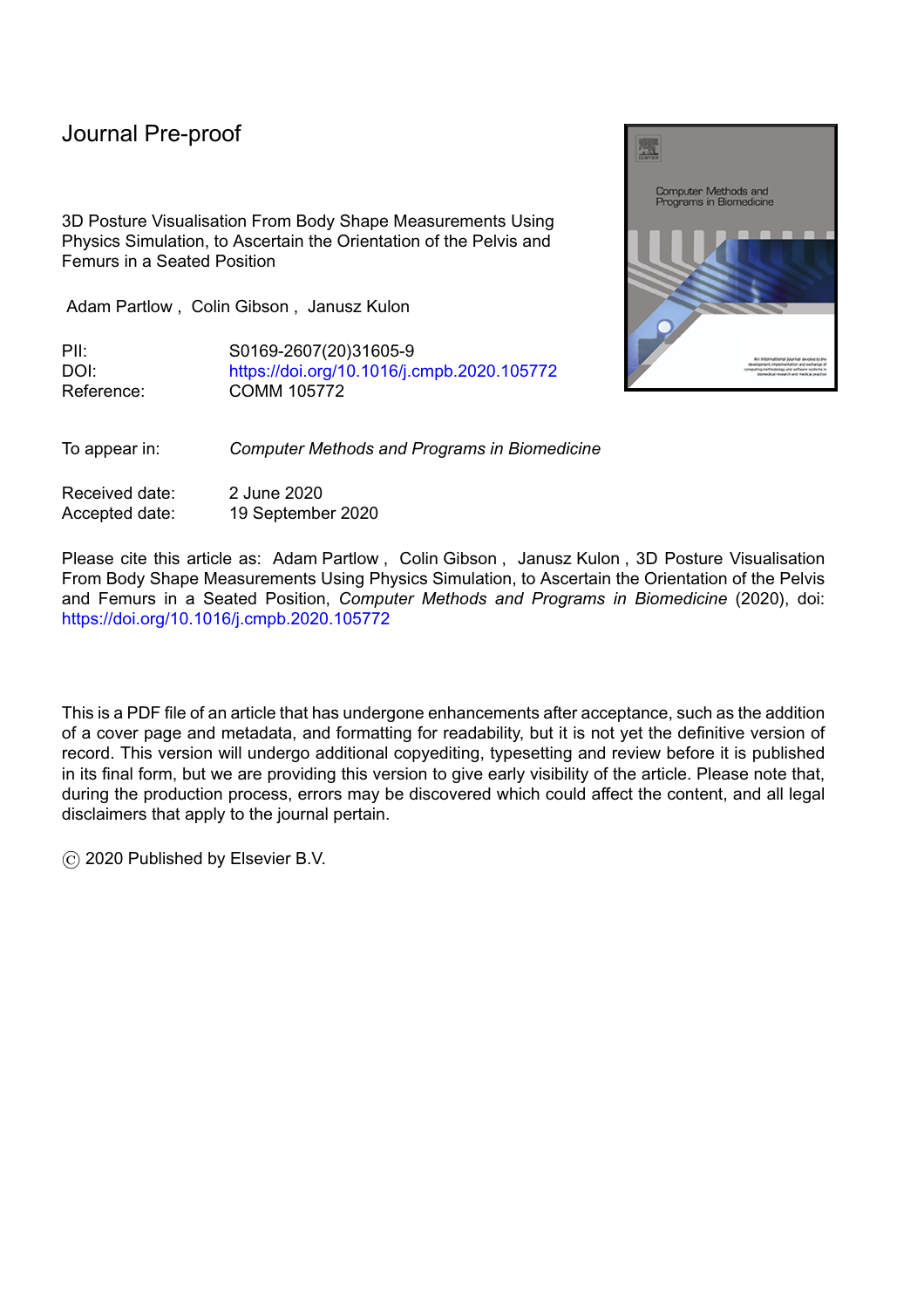**3D Posture Visualisation From Body Shape Measurements Using Physics Simulation, to Ascertain the Orientation of the Pelvis and Femurs in a Seated Position**

Adam Partlow<sup>a</sup> adam.partlow@wales.nhs.uk, corresponding author.

l

Colin Gibson<sup>a</sup> colin.gibson@wales.nhs.uk

Janusz Kulon<sup>b</sup> j.kulon@southwales.ac.uk

<sup>a</sup> Rehabilitation Engineering Unit, Artificial Limb & Appliance Service, Cardiff & Vale University Health Board, CF37 5TF, UK

<sup>b</sup> Faculty of Computing, Engineering and Science, University of South Wales, Pontypridd, CF37 1DL, UK

#### **Abstract**

**Background and Objective**: The paper presents a novel technique for the visualisation and measurement of anthropometric features from patients with severe musculoskeletal conditions. During a routine postural assessment, healthcare professionals use anthropometric measurements to infer internal musculoskeletal configuration and inform the prescription of Custom Contoured Seating systems tailored to individual needs. Current assessment procedures are not only time consuming but also do not readily facilitate the communication of musculoskeletal configuration between healthcare professionals nor the quantitative comparison of changes over time. There are many techniques measuring musculoskeletal configurations such as MRI, CT or X-ray. However, most are very resource intensive and do not readily lend themselves to widespread use in, for example, community based services. Due to the low volume of patient data and hence small datasets *modern* machine learning techniques are also not feasible and a bespoke solution is required.

**Methods**: The technique outlined in this paper uses physics simulation to visualise the orientation of the pelvis and femurs when seated in a custom contoured cushion. The input to the algorithm is a body shape measurement and the output is a visualised pelvis and femurs. The algorithm was tested by also outputting a multi-label classification of posture (specific to the pelvis and femurs).

**Results**: The physics simulation has a classification accuracy of 72.9% when labelling all 9 features of the model; when considering 6 features (excluding rotations about the x-axis) the accuracy is increased to 92.8%.

**Conclusions**: This study has shown that a mechanical shape sensor can be used to capture the unsupported seated posture of an individual during a clinic. The results have demonstrated the potential of the physics simulation to be used for anthropometric feature extraction from body shape measurements leading to a better posture visualization. Capturing and visualising the seated posture in this way should enable clinicians to more easily compare the effects of clinical interventions over time and document postural changes. Overall, the algorithm performed well, however, in order to fully evaluate its clinical benefit, it needs to be tested in the future using data from patients with severe musculoskeletal conditions and complex body shapes.

**Keywords**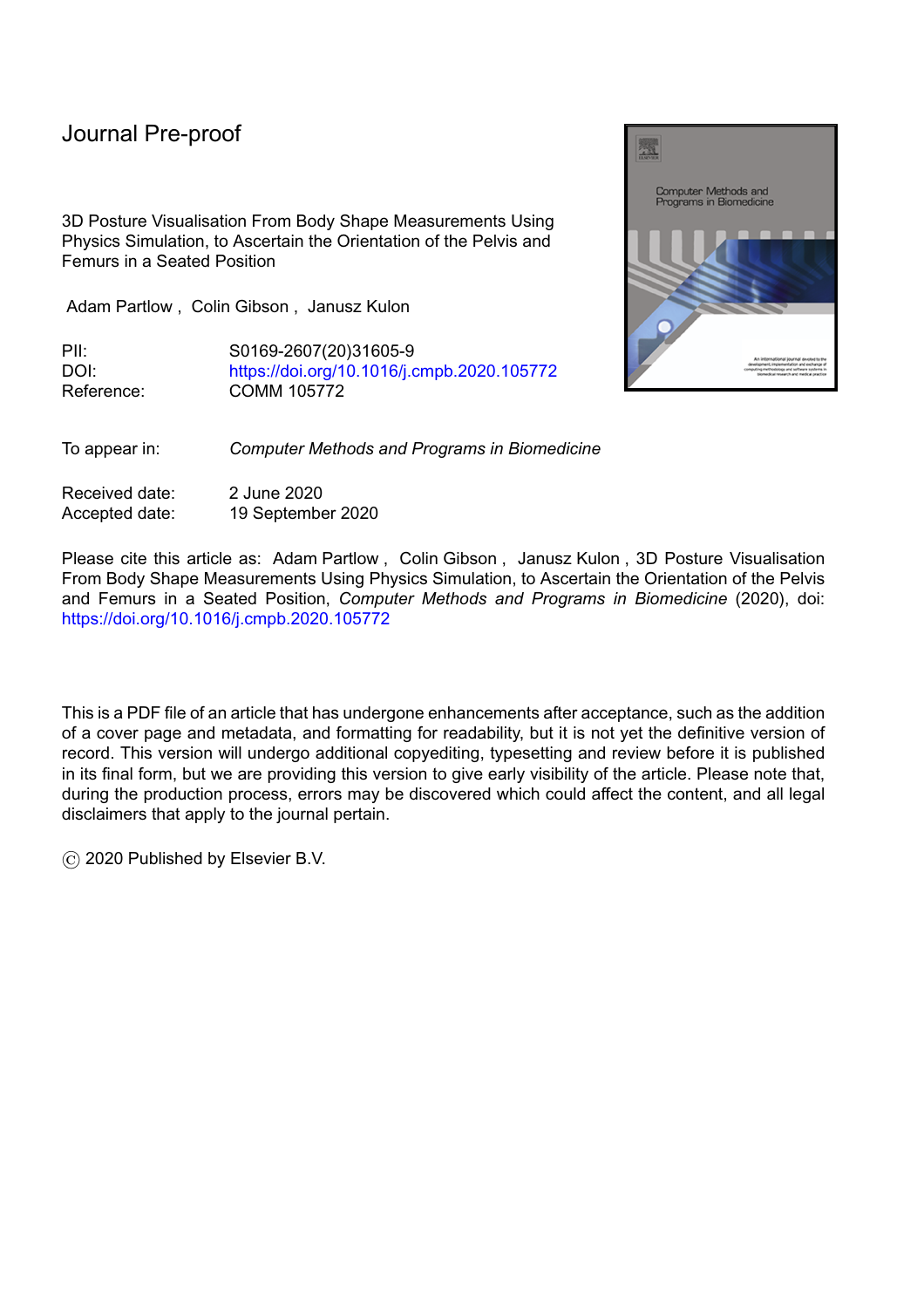Visualization, Medical simulation, Physics computing, Engineering in medicine and biology, Biomedical engineering, Biomedical informatics.

l

#### **1 Introduction**

Clinical engineers creating custom contoured seats have to infer a patient's internal skeletal configuration by palpating skeletal landmarks during assessments and reviewing recorded clinical data when the patient is not present. The internal skeletal configuration and the changes in a patient's posture between two points in time before and after a clinical intervention are important factors when deciding what posture a patient should be supported in whilst seated in their custom contoured seat. This can often be difficult to visualise. When supporting and correcting a patient's posture with a custom contoured seat clinical engineers must ensure that they are not affecting the patient adversely by over-correcting or failing to notice a condition which is then left unmanaged.

Changes in posture over time due to neuro-musculoskeletal conditions are difficult to describe in detail even with the succinct vocabulary used by clinicians. For this reason, whilst designing the patient's custom contoured seating clinical engineers spend extended periods of time assessing the musculoskeletal capabilities of a patient and communicating with other experts that deliver the patient's care. Communicating complex musculoskeletal conditions, postural capabilities and changes to conditions and capabilities over-time to other experts and professionals is not trivial.

There are various techniques that can be used to communicate posture, capture the position of anthropometric landmarks and measure the severity of musculoskeletal conditions. Internal anthropometric landmarks can be located using imaging techniques such as X-ray, MRI or CT. These techniques allow clinicians to accurately pinpoint the location of specific spinal and pelvic landmarks and record their positions; informing posture. Calculations such as the Cobb angle for spinal curvature and acetabular index for hip dislocation, for example can be performed on internal anthropometric landmarks. These measurements can be used to inform clinicians as to the severity of musculoskeletal conditions which are then used to record and communicate these to other professionals.

External measurement tools such as Moiré photography, contour devices and inclinometers can be used to capture the shape of a patient's back and the angle of flexion of the hips while seated. These tools are not used to provide accurate measurement of the position and angles of an internal landmark but a 'fuzzy' qualitative measure of a condition. These measurements are then used to inform discussions of the postural condition and communicate its severity to other clinicians.

Postural assessments which rely on measurement and palpating external bony landmarks are used to describe the sitting ability of a patient. Aissaoui et al. [1] used an articulated mechanical arm to digitize external pelvic landmarks. The absolute accuracy of the coordinate localisation was 0.64 mm, however for each posture, the subjects were required to sit still for at least 4 min, then, the digitization of the anatomical and simulator chair markers were collected. Posturography tests [2] and trunk support systems [3] have been used in laboratory and clinical settings to assess postural control in individuals lacking independent sitting. Tools such as the gross motor function classification system (GMFCS) [4] or the neutral-zero method [5, 6] involve making observations of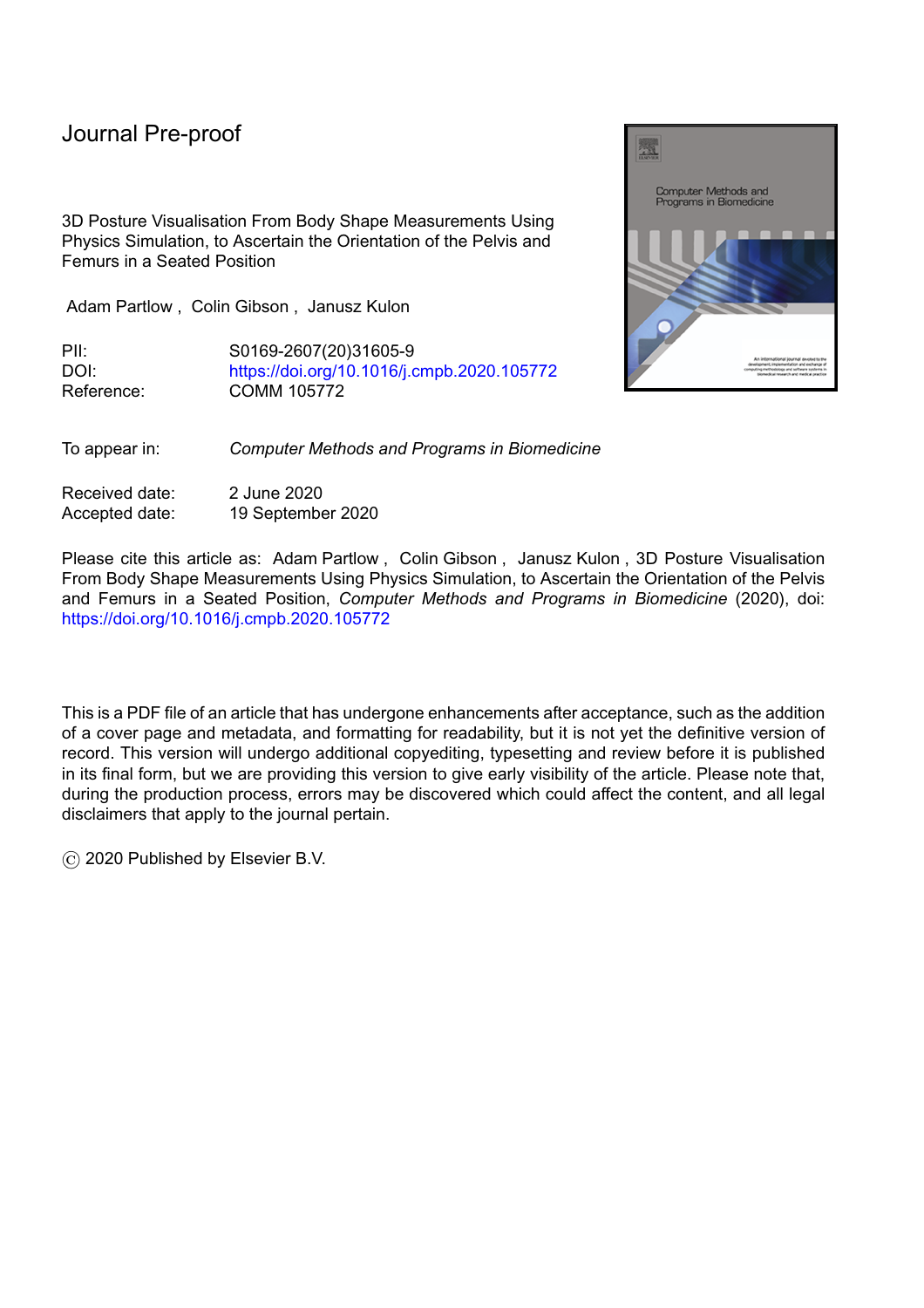the patient and scoring their ability on a worksheet. These tools generally take a significant amount of time to use but provide a thorough assessment of sitting ability.

l

Problems exist with current processes. The imaging techniques are time consuming and expensive and it is not practicable to perform these at every postural assessment. Secondly, the imaging techniques and the external measurement techniques require a patient to stand or lay down. It is often not possible for patients to stand and the measurement is not performed in a seated posture so it has limited application to the design of custom contoured seating [7]. The majority of external measurements of the back and lower extremities are not captured simultaneously and so the patient may be moved while the measurements are being taken. A technique that captures the back and lower extremities simultaneously while in a seated posture would be ideal for measuring a patient's posture over time to determine clinical outcomes of seating interventions.

The aforementioned techniques that have been outlined for capturing and communicating posture are inappropriate for use on the group of patients that require custom contoured seating at Cardiff and Vale University Health Board's (UHB) Rehabilitation Engineering Unit (REU). A study is currently ongoing at Cardiff and Vale UHB REU to create a customisable digital human model (DHM) and to investigate the feasibility of using current clinical practices to configure the DHM [8, 9].

DHMs can be used to represent an individual or group of individuals in computer simulations and then design ergonomic solutions that are tailored to the individual's needs. They can be used to represent a patient's internal skeletal configuration, simulate the effect of an intervention, or improve communication between professionals [10]. When using a DHM it must be configured so that it represents the current patient that the clinician is treating. To configure DHMs users can input values, for example: joint angles, joint ranges of motion (ROM), scale of the DHM and positions of specific anatomical landmarks. Some applications do not use a specialised DHM tailored to the patient and instead can use a -th percentile model that represents of the population. The input values to manipulate a DHM must either be manually entered by the user or generated by another device that can then automatically position the DHM.

For a DHM to be used effectively in a special seating environment the DHM must be configured to represent the patient's posture at the time of assessment. There are many techniques which exist for extracting the position of external anthropometric landmarks to configure DHMs. Popular techniques for configuring DHMs include motion capture as used in gait analysis [11, 12], stereo photography [13, 14] and input from imaging techniques such as X-ray and magnetic resonance imaging (MRI) [10], [13, 15]. Currently, these techniques have not been demonstrated to be suitable for capturing a static seated posture at a discrete moment in time. X-ray and MRI are not suitable for capturing the seated posture of an individual whilst seated in a wheelchair due to the wheelchair's materials interfering with the measurement or being unsafe. Stereo photography and gait analysis require visual line of sight to the landmarks being measured and hence it is difficult to capture the seated posture of an individual. In such postural assessments the landmarks are often obstructed by the presence of a clinician or the surface of the seat. More recently, developments are being made using small non-invasive devices such as ultrasonic transducers (employing indoor acoustic localisation) and CMM (coordinate measuring machine) arms to take measurements of a patient's external anthropometric landmarks in order to define the posture of a patient [16, 17, 18].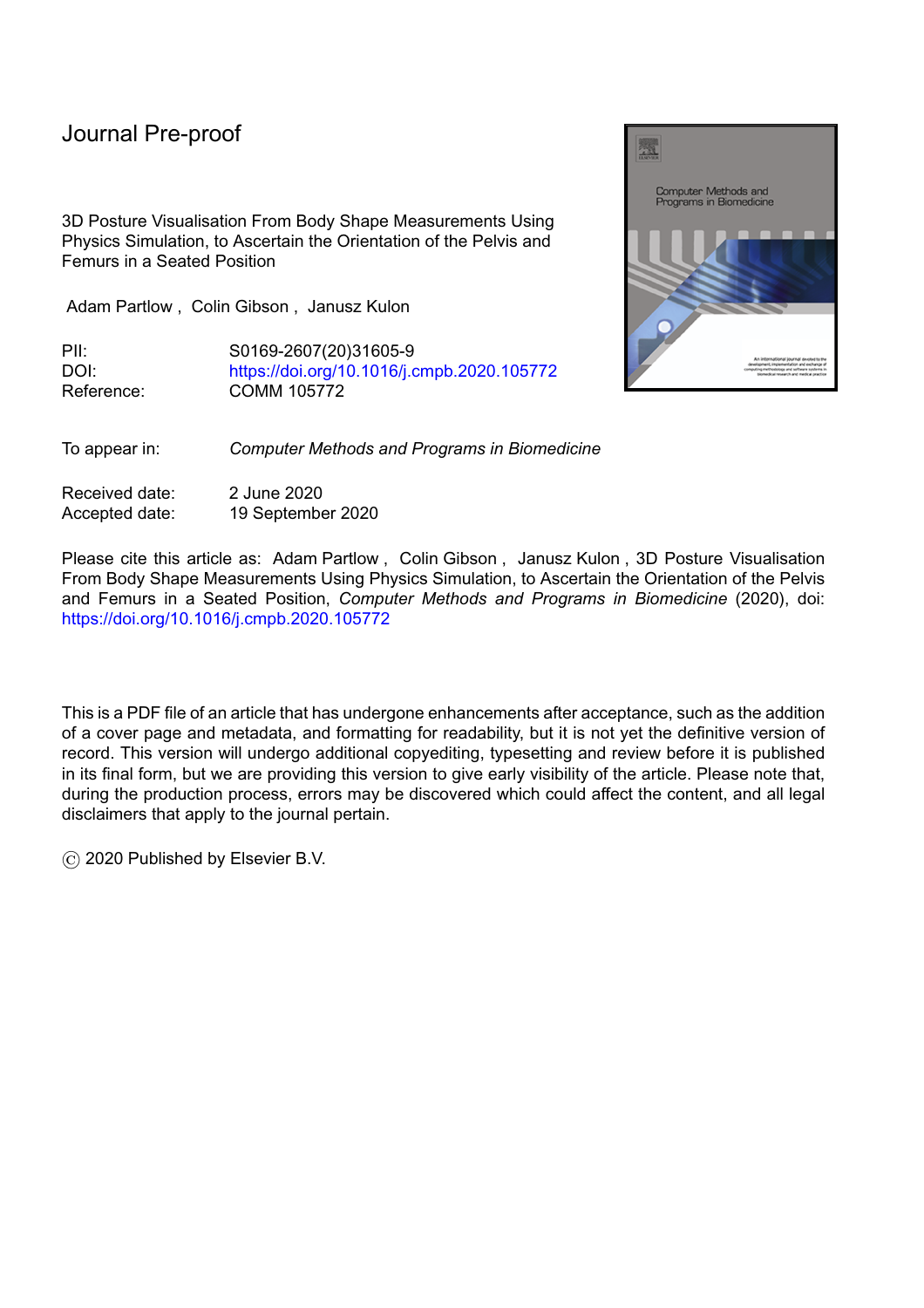# Journal Pre-proof

l

As stated previously, imaging techniques are inappropriate for the Cardiff and Vale UHB REU patient group. They are often unable to stand or sit unsupported during the imaging process and repeatedly imaging this patient group would be resource intensive. A specialised DHM for use on the patients of Cardiff and Vale UHBs REU is being developed. Cardiff and Vale UHB REU use a device named the Cardiff Body Match (CBM) (Figure 1) to capture the seated shape of a patient's body [7, 19]. The shape is used to create a custom contoured seat that conforms to the contours of the patient's body and distributes pressure evenly across the surface. This provides postural support whilst minimising the risk of pressure related injuries. The shape data captured by the CBM contains surface contours of a patient's posterior aspects of the thighs, buttocks and trunk.

The problems that have been outlined in this section include the difficulty in recording posture clearly and reliably; and communicating posture to other professionals succinctly. The work presented in this study aims to visualise the position of an individual's pelvis and femurs using noninvasive techniques whilst in a seated posture. This would allow quantitative recording of people's posture and allow the comparison of posture over time for the measurement of clinical outcomes. Whilst this study has initially focussed on the application to custom contoured seating users; the techniques described in this article are applicable to any body shape measurement of the pelvis and femurs in a seated position.

This article presents the work completed to date in order to identify the position and orientation of the pelvis and femurs in a CBM measurement for input into a DHM and visualisation of the seated posture. The calculated skeletal landmarks can then be used to inform a DHM as to the location of certain anthropometric features to position the model, or used to calculate clinical measurements which are used to analyse posture to determine sitting capabilities.



Figure 1: The CBM mechanical shape sensor.

**2 Method**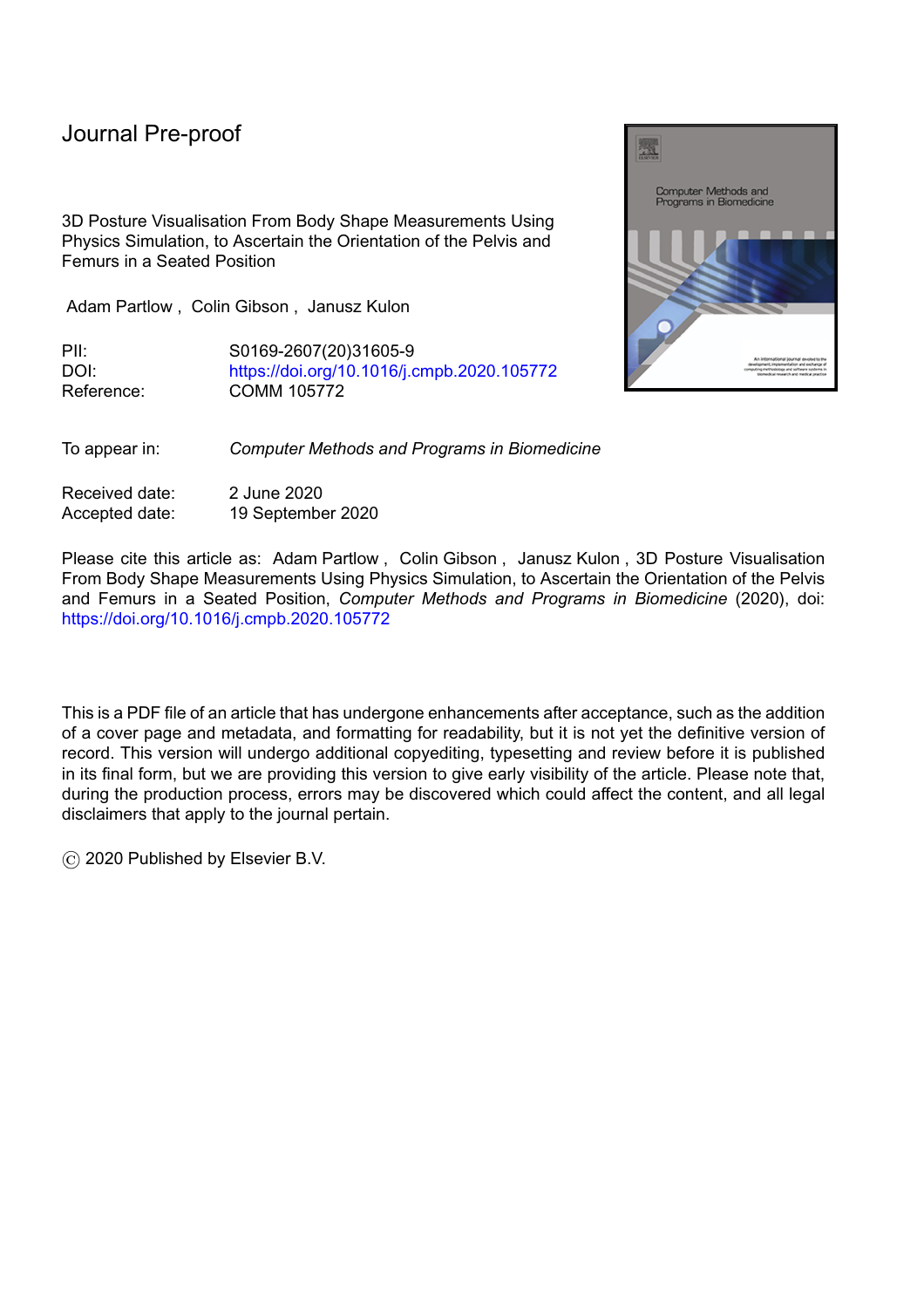#### Journal Pre-proo

The algorithm described in this article uses physics simulation to estimate the position of the pelvis and femurs in a seated posture. The input into the algorithm is a body shape measurement of the anterior aspect of the patient's trunk; abdomen and lower limbs in a seated posture. The output of the technique is a visualised pelvis and femurs and, for testing purposes a multi-label classification of the orientation of the pelvis and femurs.

The input measurements are captured using a device named the Cardiff Body Match (CBM) (Figure 1) which is a mechanical shape sensor used clinically to create custom contoured seating systems in Cardiff and Vale University Health Board's (UHB) Rehabilitation Engineering Unit (REU) [7].

The classification of the orientation of the pelvis and femurs is obtained by first *dropping* an anatomically correct mesh of the pelvis and femurs onto the input body shape measurement and allowing the mesh to come to rest. The rotations of the pelvis relative to a neutral pelvis and femurs relative to the pelvis are then used to calculate the classification.

Physics simulations rely on the correct material properties and parameters being defined in order for them to produce *realistic* movements. This study also attempts to identify the optimum parameters for the simulation by searching a range of values and assessing the accuracy of the algorithm when using each set of parameters.

The following sections outline how the algorithm is developed and tested.

l

#### **2.1 Simulation Input Data**

The input into the physics simulation is a body shape measurement. Body shape measurements at Cardiff and Vale UHBs REU are captured using the CBM mechanical shape sensor pictured in Figure 1 The CBM was developed at Cardiff and Vale UHBs REU [7] and measures the contours of an individual's body in a seated position. In this study only the measurement from the base cushion (Figure 2a) is used as the simulation is not taking into account the trunk. The sitting surface is composed of a ROHO Quadtro Select High Profile cushion [20] without its cover and the backrest of the CBM is a grid of pins which are displaced by, and remain in contact with the patient's body, and hence measures body shape.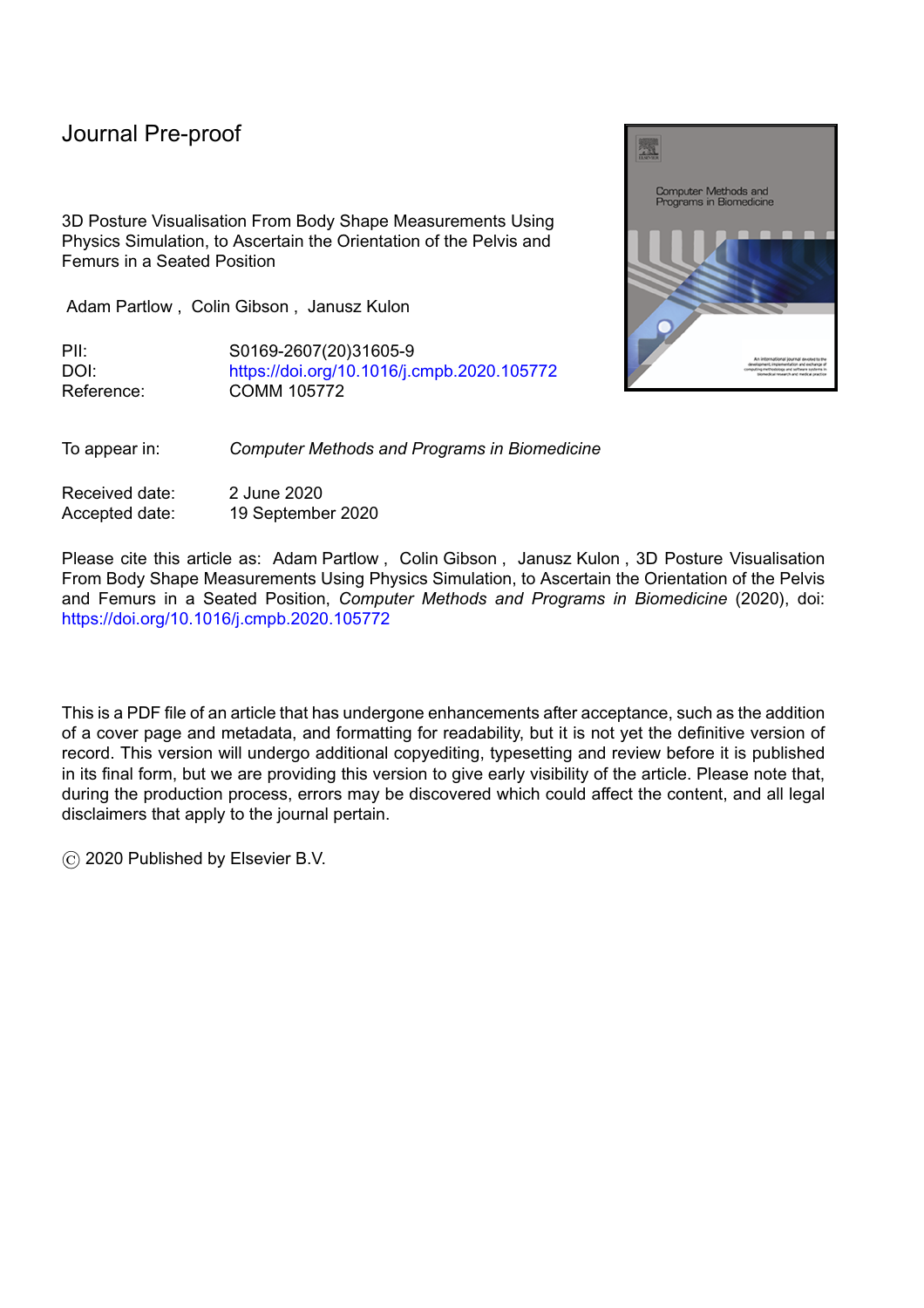

(a) CBM base cushion with some pins depressed (b) Cushion with measurement superimposed

Figure 2: CBM shape sensor after a measurement is taken and the measurement superimposed on the CBM shape sensor.



Measurement: Arrow (Base)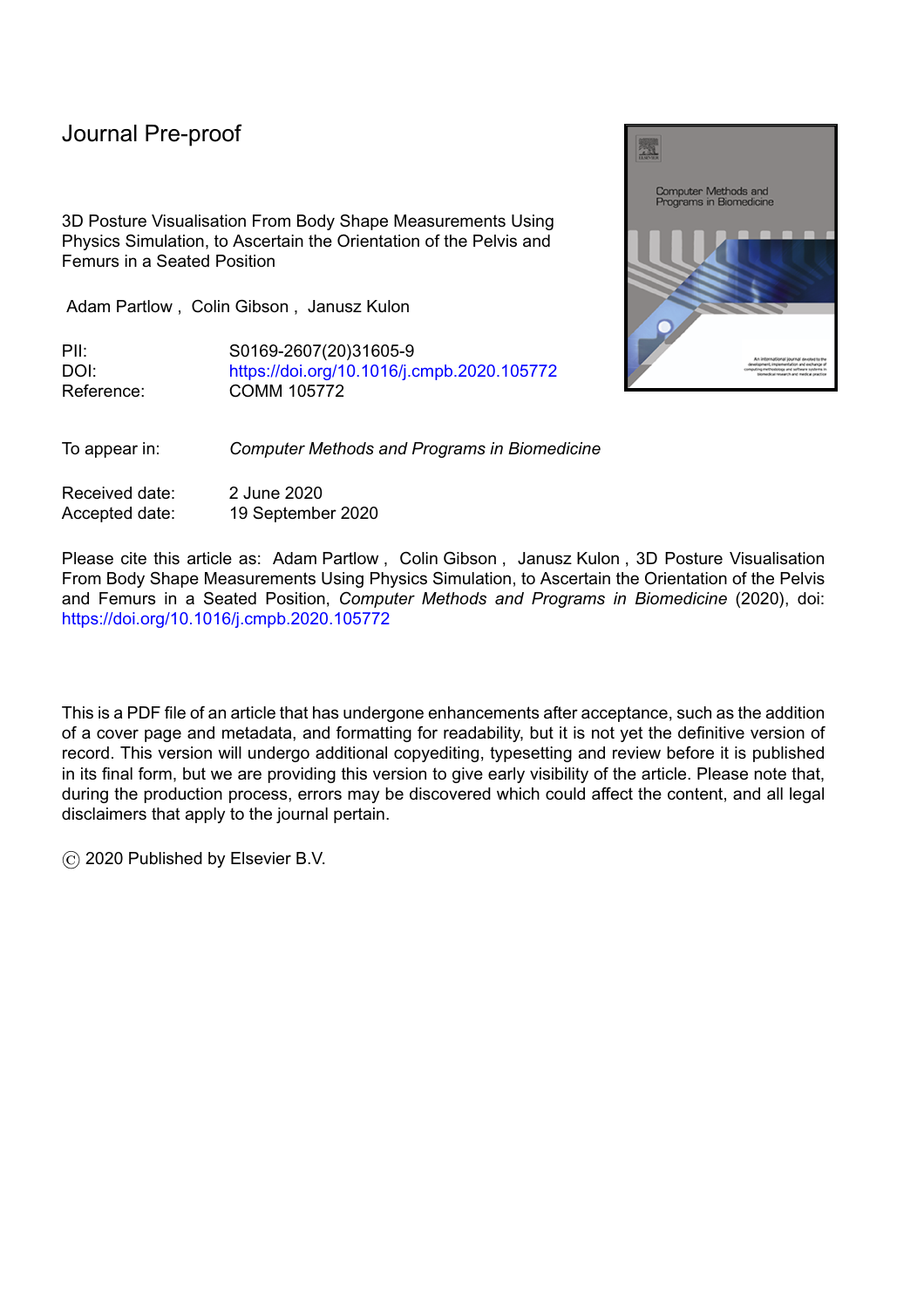Figure 3: A CBM measurement visualised as a height map.

l

In order to create a CBM measurement, a patient is seated on the CBM with the cushion inflated, all base pins extended and all back pins retracted. The air is then released from the cushion to stabilise the pelvis, as the pelvis sinks into the cushion the base pins are displaced. When the pelvis is stable the clinicians will position the patient's trunk in a position that is deemed optimum for them, the back pins are then extended and they stop when they come into contact with the patient or are fully extended. At this point the displacement of all the pins are captured which are then recorded as CBM base and back measurements. CBM measurements can be used to create a pressure relieving posture supporting cushion. By virtue of the CBMs design [8, 19] pressure is automatically evenly distributed. The final shape of the cushion is determined by the patient's posture and hence the shape of the CBM measurement. Figure 2a shows an image of the CBM base after a measurement has been taken. This measurement is visualised in Figure 3. The CBM measurement in Figure 3 is shown superimposed onto the CBM base in Figure 2b.

A CBM measurement consists of a TTE matrix, whose elements are the displacement values of the CBMs pins. CBM measurements are measured in millimetres and are stored as a vector of values, . The order of the elements in the vector is given by  $(1)-(4)$ .



Where is an element in the matrix , and are the current row and column number in the matrix respectively given the -th element in the vector . and are the total number of rows and columns in the measurement. In an unmodified CBM measurement straight from the CBM shape sensor and and TE A CBM measurement matrix can be visualised as a height map as shown in Figure 3. In order to use the CBM measurement in the physics simulation a triangle mesh must be created.

#### **2.2 Physics Simulation**

Previous studies have reviewed the accuracy and repeatability of several open source and freely accessible physics libraries and stated that the Bullet physics library [21] should be used for accurate simulation [22, 23]. The Bullet physics library is a deterministic system and will always produce the same results given the same starting conditions. The physics simulation was scripted in Python and visualised using Blender [24].

The Bullet physics library states that dimensions should be in metres and when the simulation involves objects which are less than 20 cm in any dimension the time step, of the simulation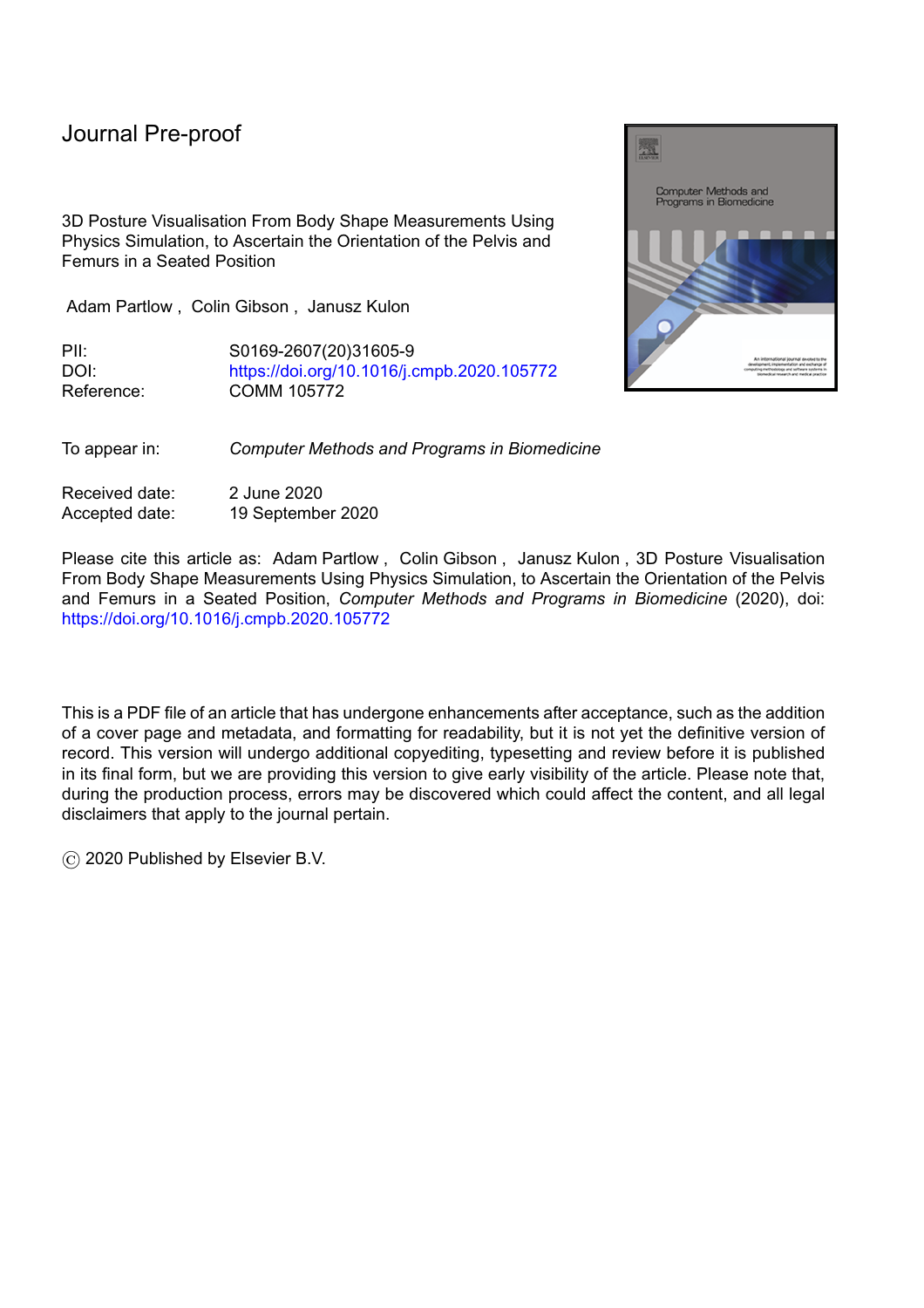# Journal Pre-proot

should be adjusted. It is suggested in the Bullet physics user guide [25] that sec be used for objects as small as a 1 cm die. In this simulation some of the bony prominences of the pelvis and femurs are small and for this reason the recommended time step is used, sec, i.e. 300 simulation steps per second.

l

| Coefficient             | Symbol | Value(s) Tested  |   |
|-------------------------|--------|------------------|---|
| Friction of cushion     |        |                  |   |
| Restitution of cushion  |        |                  |   |
| Mass of cushion         |        |                  |   |
| Friction of skeleton    |        | 1.00             |   |
| Restitution of skeleton |        | 1.00             |   |
| Mass of pelvis          |        | 4.780 kg         |   |
| Mass of femur           |        | 1.705 kg         |   |
| Starting x-coordinate   |        |                  | m |
| Starting y-coordinate   |        |                  | m |
| Starting z-coordinate   |        | 0.3 <sub>m</sub> |   |

Table 1: Summary of parameters used in the physics simulation, their symbols and values.

The physics simulation used a 50th percentile human male pelvis and femurs [26] to estimate the sitting position of the patient. This is appropriate for this study as the participants are both male but future work will need to take into account the differences between male and female musculoskeletal structures and mechanics. The pelvis and femurs are *dropped* onto the seating surface where they eventually come to rest. The resting position was determined by the parameters used in the physics calculations, the parameters have been summarised in table 1. The coefficients of friction and restitution need only be changed for one rigid body as the calculation for friction and restitution within the Bullet physics engine is multiplicative. The coefficients of the cushion are adjusted whilst other rigid bodies' coefficients remain at a value of 1. Empirical testing demonstrated that a maximum value for should be 1.4; values higher than this cause the skeletal mesh to be thrown from the cushion due to the high value of the elastic coefficient.

# **2.2.1 Seating Surface**

The triangle mesh for the physics simulation is calculated from the CBM pin measurement vector, . (5)-(9) generates the vertex coordinate matrix, for a triangle mesh that represents the seating surface. Where the coefficient 0.04445 is the resolution of the CBM mechanical shape sensors in millimetres (1.75'').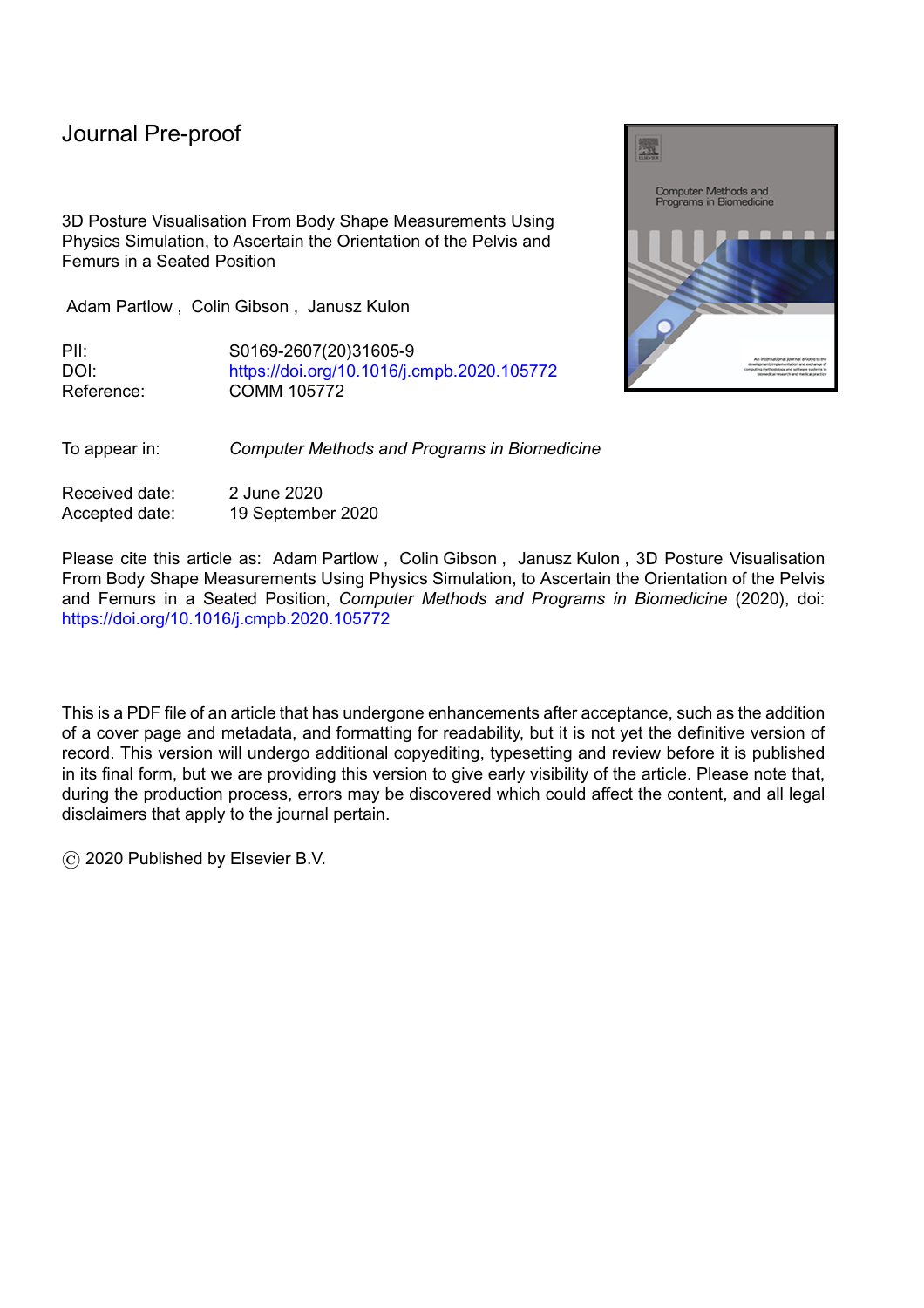

Where is the -th row of the vertex matrix , and and are the current row and column of the CBM measurement matrix. , defined in (9) is the -th element of containing the CBM pin measurement used to assign the y-coordinate of the current vertex. The triangle mesh's indices, , are calculated using (10)-(14).



Where is the -th row of the triangle mesh's index matrix and is the total number of triangles in the mesh, calculated using (11).

The indices in and the vertices in are used by the Bullet physics library to create a kinematic object which does not move during a simulation. The kinematic object represents the seating surface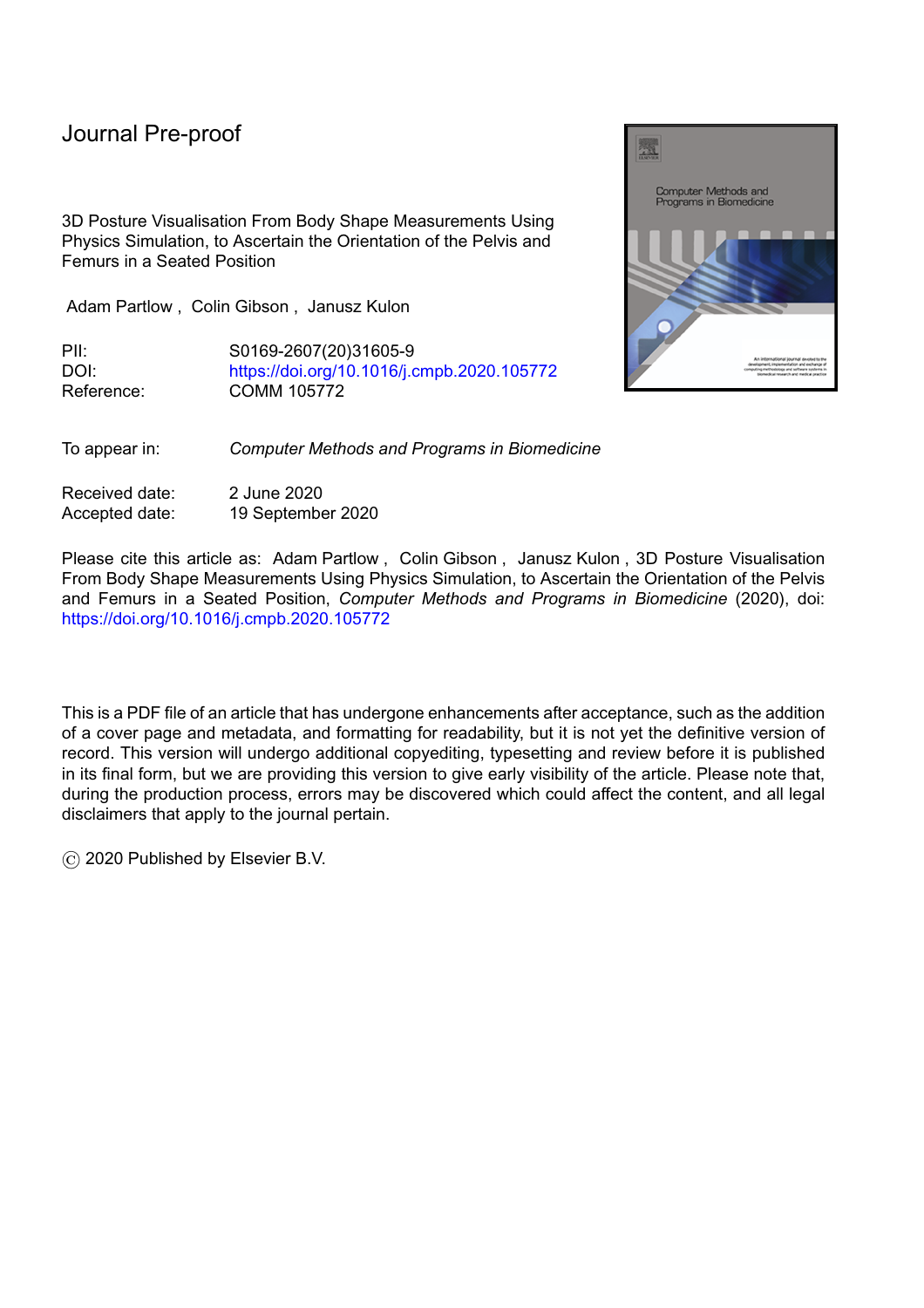which is used to accommodate the pelvis and femurs of the skeletal model being positioned in the seat.

l

# **2.3 Skeletal Model**

The Zygote human male skeletal model is used as the basis for the skeletal model in the simulation. The Zygote model `was developed from CT scans of a 50th percentile male, and was carefully modelled to retain subtle anatomical nuances unique to specific bones.' [26]

The study performed physics simulation on dynamic objects representing the pelvis and femurs which are concave shapes. The Bullet physics library does not have a collision solver that is able to calculate collisions between dynamic concave meshes directly. Therefore Bullet requires that collisions involving concave meshes are performed on decomposed meshes constructed with convex hulls. Bullet recommends using the V-HACD algorithm to perform mesh decomposition. The pelvis and femurs are not convex in shape and so are segmented into a series of convex hulls using the V-HACD algorithm [27].

| Bone         | Feature          | Original | Decomposed |
|--------------|------------------|----------|------------|
| Pelvis       | Vertices         | 358,047  | 558        |
| Pelvis       | <b>Triangles</b> | 718,474  | 1,040      |
| Left Femur   | Vertices         | 33,515   | 256        |
| Left Femur   | <b>Triangles</b> | 67,033   | 480        |
| Right Femur  | <b>Vertices</b>  | 33,546   | 224        |
| Right Fernur | <b>Triangles</b> | 67,092   | 420        |

Table 2: Mesh complexity before and after decomposition using the V-HACD algorithm.

# **2.3.1 Bounding Volume**

The decomposed bounding volumes created by the V-HACD algorithm [27] significantly reduce the complexity of the models whilst maintaining the detail. Table 2 summarises the changes in mesh complexity between the original skeletal meshes and the V-HACD output. Figure 4 shows the visual differences between the original mesh and the decomposed meshes.

# **2.3.2 Joint Constraints**

The interactions between the cushion and skeletal meshes require that joint constraints between the pelvis and femurs are defined to enable `realistic' motion about the joints. The study by Ryf and Weymann [5, 6] investigated joint ranges of motion for a large population. This study forms the basis of techniques widely used by clinicians to measure joint ranges of motion and assess their function. Due to the neutral-zero methods wide usage and recognisability amongst professionals in postural management the ranges of motion quoted in these studies are used as the limits for the skeletal model. The ranges of motion for the hip joint are summarised in table 3 and visualised in Figure 5.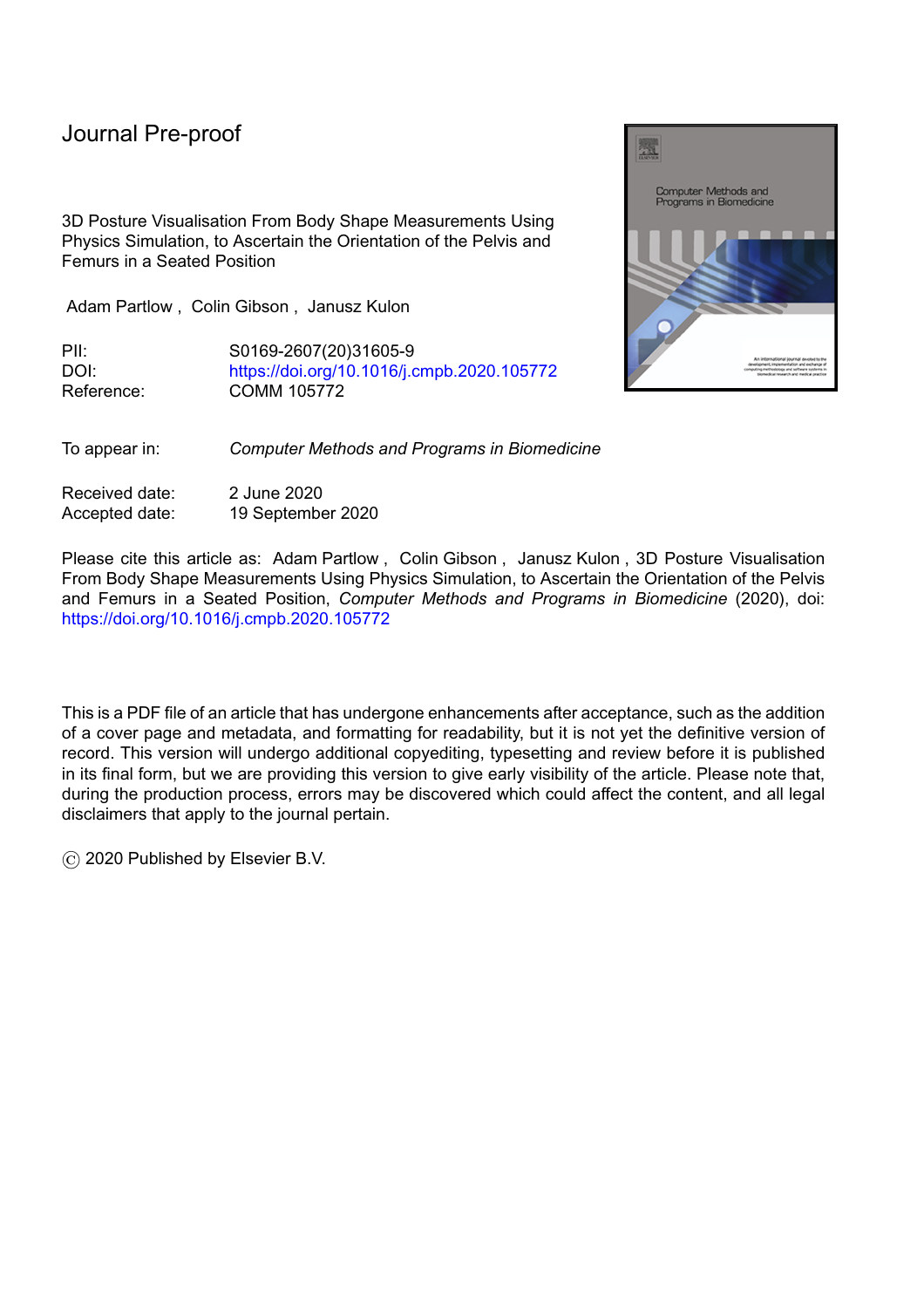# **Journal Pre-proof**



l

The reference posture in this study is standing upright. Standing upright would be recorded as 0° abduction/adduction, 0° flexion/extension and 0° internal/external rotation.

(a) Original mesh (b) Decomposed mesh

Figure 4: The original mesh of the pelvis and femurs and the decomposed mesh.

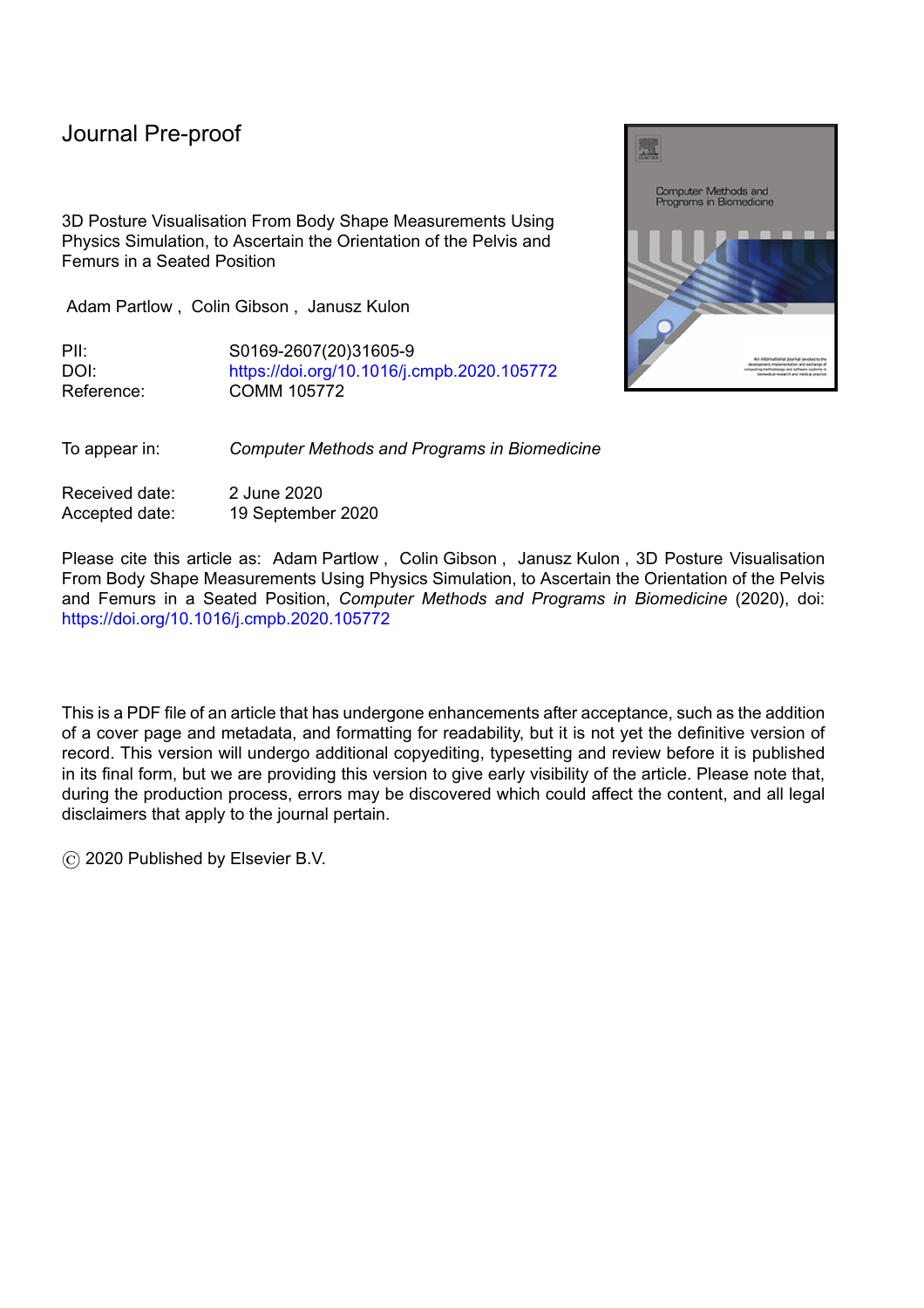(a) Transverse plane, rotations. (b) Coronal plane, rotations. (c) Sagittal plane, rotations. Figure 5: Descriptions for orientation of the pelvis and ranges of motion at the hip joint.

| Rotation about the hip joint | neutral-zero measurement                    |
|------------------------------|---------------------------------------------|
| Abduction / Adduction        | $50^{\circ}$ - 0 $^{\circ}$ - 20 $^{\circ}$ |
| Flexion / Extension          | $130^{\circ}$ - 0° - 10°                    |
| Internal / External Rotation | $30^{\circ}$ - 0 $^{\circ}$ - 40 $^{\circ}$ |

Table 3: Ranges of motion used for the physics simulation. Reference posture is standing upright.

# **2.4 Test Data**

To validate the output of the simulation, control data was collected from 2 able bodied healthy subjects in 7 different postures. The 7 different postures were: sitting normally; leaning to the right;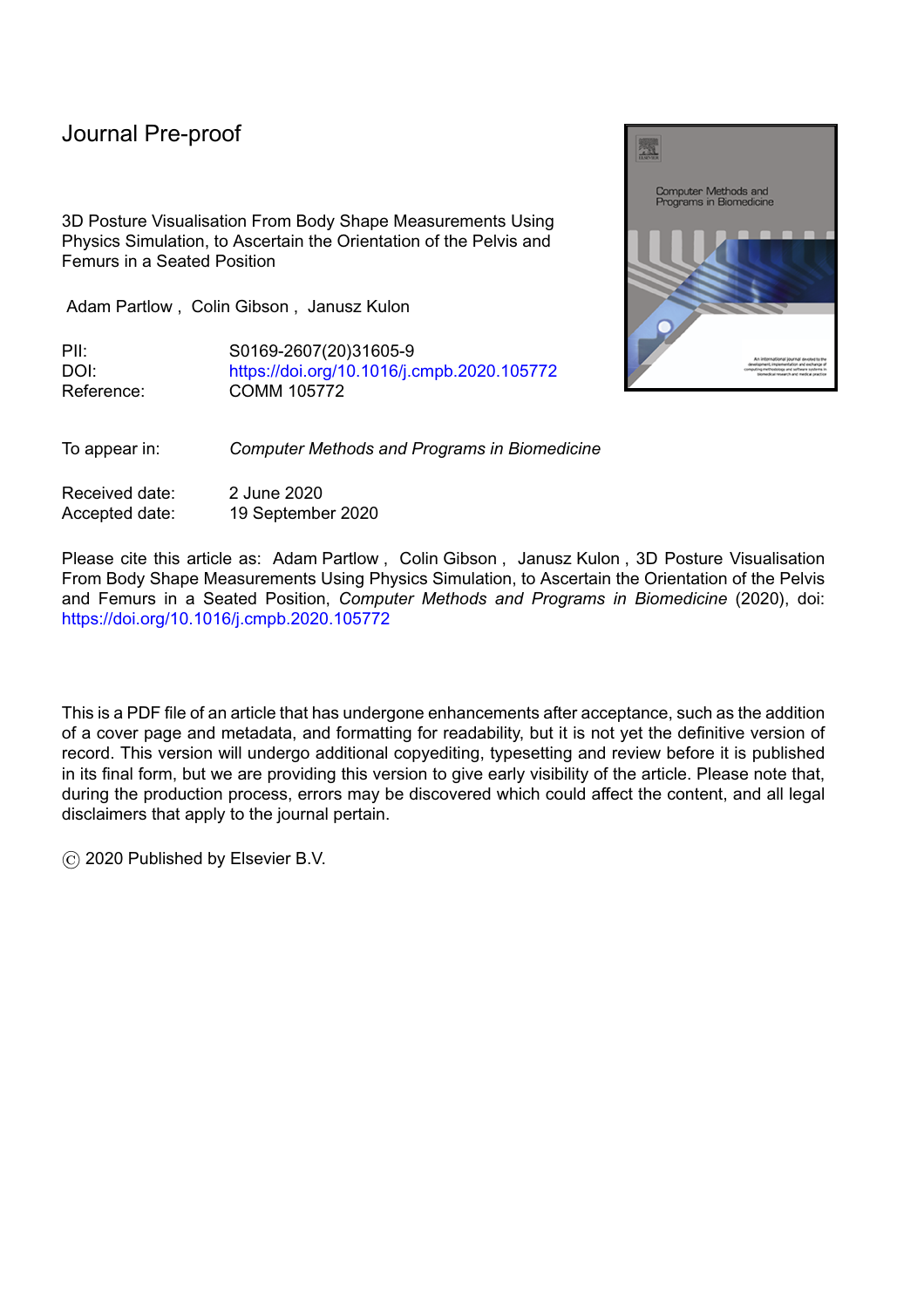# Journal Pre-proof

leaning to the left; pelvic obliquity down on the right; pelvic obliquity down on the left; pelvic tilt; and clutching the knees with a rounded back. Some of the postures were recorded more than once resulting in 23 postures overall. Each posture was measured independently of any previous measurements. The CBM shape sensor was reset after each measurement.

l

In addition to the CBM measurements that were captured, the rotation at the hips and pelvis were recorded by clinicians. The orientation of the femurs and the pelvis while seated in the CBM was used to validate the physics simulation output. Figure 6 shows an example of an ideal output of the simulation, in this instance the model has been positioned and oriented manually.

#### **2.5 Output Data**

The simulation outputs 9 measurements which are derived from the final resting position of the pelvis and femurs. These values are pelvic tilt, rotation, and obliquity and flexion/extension, adduction/abduction and internal/external rotation of the left and right hips. In order to compare these results to those which are collected during a clinical assessment the numerical values must be classified into one of three categories.

Figure 5 shows the classes that describe the orientation of the pelvis or femur based on the angle of rotation about an axes used during clinical assessments to record an individual's posture (they have not been created exclusively for this study). Where  $\sqrt{ }$  and are the rotations about the , and axes respectively as stated in Partlow [7].



Figure 6: Control Participant 1 seated in the pelvic obliquity posture (participant 1, measurement 6, obliquity 1), the participant is attempting to rotate their pelvis such that it is considered down on the left. Note however that it is difficult for an able-bodied person to achieve the level of rotation observed in those with musculoskeletal conditions. The right hip is flexed.

# **2.6 Testing**

The algorithms prediction was compared to the test data and the accuracy for each set of input parameters as defined in Table 1 and for each of the 9 features measured by the simulation was calculated. The top 10 accuracies for each of the features will be examined and discussed.

# **3 Results**

The physics simulation was run on each of the 23 measurements. The parameters used in the physics simulation are shown in Table 1. This resulted in 16,500 permutations per measurement resulting in 379,500 results. This section outlines how each set of parameters effected the classification performance of the algorithm. This was measured using the overall accuracy as defined in (15). Where is the number of measurements; are the known labels of the observation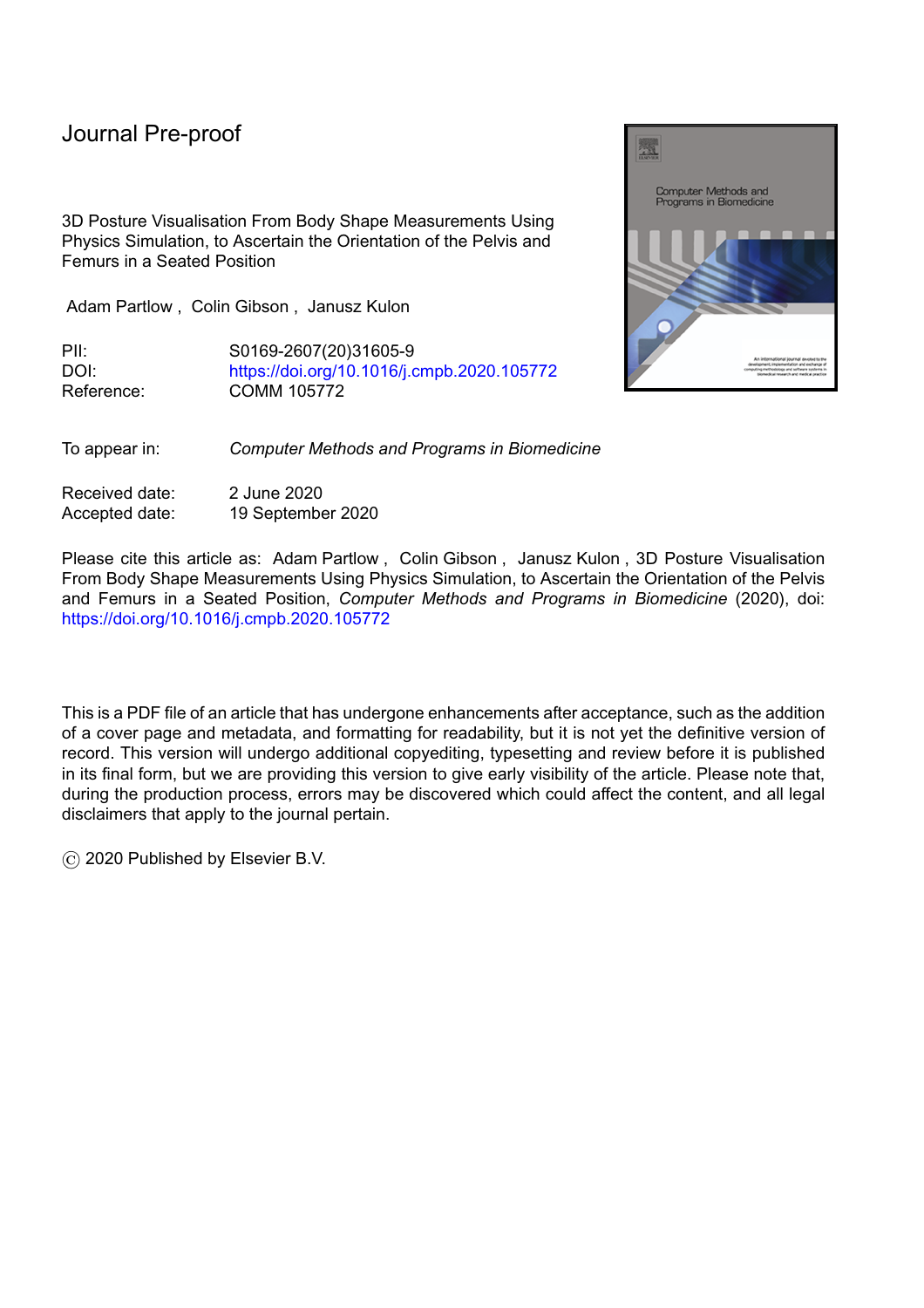(determined by a clinician at the time of measurement); and are the predicted labels for the observation(determined by the output of the algorithm).

 $(15)$ 

l

The greatest overall accuracy was 72.9%. This was obtained when the simulation parameters were , and the starting location was The 10 greatest metres. The 10 greatest accuracies are shown in Table 4.

|     |     |         | Initial Pelvis COM |     | Accuracy (%) |       |       |      |       |      |      |       |      |         |
|-----|-----|---------|--------------------|-----|--------------|-------|-------|------|-------|------|------|-------|------|---------|
|     |     |         |                    |     |              |       |       |      |       |      |      |       |      | Overall |
| 1.0 | 0.0 | 0.02    | 0.11               | 0.3 | 13.0         | 82.6  | 100.0 | 69.6 | 87.0  | 87.0 | 60.9 | 87.0  | 69.6 | 72.9    |
| 1.0 | 0.0 | $-0.02$ | 0.11               | 0.3 | 13.0         | 100.0 | 100.0 | 47.8 | 95.7  | 69.6 | 47.8 | 95.7  | 82.6 | 72.5    |
| 1.0 | 0.1 | 0.02    | 0.11               | 0.3 | 17.4         | 87.0  | 95.7  | 56.5 | 87.0  | 78.3 | 65.2 | 91.3  | 65.2 | 71.5    |
| 0.4 | 0.2 | 0.02    | 0.11               | 0.3 | 17.4         | 91.3  | 95.7  | 60.9 | 87.0  | 69.6 | 65.2 | 82.6  | 69.6 | 71.0    |
| 0.7 | 0.2 | 0.02    | 0.11               | 0.3 | 21.7         | 87.0  | 100.0 | 47.8 | 91.3  | 69.6 | 65.2 | 91.3  | 65.2 | 71.0    |
| 1.0 | 0.2 | $-0.02$ | 0.11               | 0.3 | 13.0         | 91.3  | 100.0 | 56.5 | 95.7  | 56.5 | 60.9 | 95.7  | 65.2 | 70.5    |
| 0.9 | 0.4 | 0.02    | 0.11               | 0.3 | 13.0         | 100.0 | 95.7  | 65.2 | 91.3  | 56.5 | 60.9 | 87.0  | 65.2 | 70.5    |
| 1.0 | 0.1 | $-0.02$ | $-0.02$            | 0.3 | 73.9         | 95.7  | 100.0 | 52.2 | 100.0 | 39.1 | 52.2 | 78.3  | 39.1 | 70.0    |
| 0.7 | 0.0 | $-0.02$ | 0.11               | 0.3 | 4.3          | 95.7  | 95.7  | 47.8 | 100.0 | 78.3 | 43.5 | 91.3  | 73.9 | 70.0    |
| 0.9 | 0.0 | $-0.02$ | 0.11               | 0.3 | 8.7          | 100.0 | 100.0 | 30.4 | 95.7  | 73.9 | 34.8 | 100.0 | 87.0 | 70.0    |

Table 5: The 10 results with the highest overall accuracy; the per feature accuracies; and the parameters for the simulation.

|     |     |         | Initial Pelvis COM |     |       |       | Accuracy (%) |      |       |      |         |
|-----|-----|---------|--------------------|-----|-------|-------|--------------|------|-------|------|---------|
|     |     |         |                    |     |       |       |              |      |       |      | Overall |
| 1.0 | 0.0 | 0.02    | 0.11               | 0.3 | 82.6  | 100.0 | 87.0         | 87.0 | 87.0  | 69.6 | 72.9    |
| 1.0 | 0.0 | $-0.02$ | 0.11               | 0.3 | 100.0 | 100.0 | 95.7         | 69.6 | 95.7  | 82.6 | 72.5    |
| 1.0 | 0.1 | 0.02    | 0.11               | 0.3 | 87.0  | 95.7  | 87.0         | 78.3 | 91.3  | 65.2 | 71.5    |
| 0.4 | 0.2 | 0.02    | 0.11               | 0.3 | 91.3  | 95.7  | 87.0         | 69.6 | 82.6  | 69.6 | 71.0    |
| 0.7 | 0.2 | 0.02    | 0.11               | 0.3 | 87.0  | 100.0 | 91.3         | 69.6 | 91.3  | 65.2 | 71.0    |
| 1.0 | 0.2 | $-0.02$ | 0.11               | 0.3 | 91.3  | 100.0 | 95.7         | 56.5 | 95.7  | 65.2 | 70.5    |
| 0.9 | 0.4 | 0.02    | 0.11               | 0.3 | 100.0 | 95.7  | 91.3         | 56.5 | 87.0  | 65.2 | 70.5    |
| 1.0 | 0.1 | $-0.02$ | $-0.02$            | 0.3 | 95.7  | 100.0 | 100.0        | 39.1 | 78.3  | 39.1 | 70.0    |
| 0.7 | 0.0 | $-0.02$ | 0.11               | 0.3 | 95.7  | 95.7  | 100.0        | 78.3 | 91.3  | 73.9 | 70.0    |
| 0.9 | 0.0 | $-0.02$ | 0.11               | 0.3 | 100.0 | 100.0 | 95.7         | 73.9 | 100.0 | 87.0 | 70.0    |

Table 6: The 10 results with the highest overall accuracy excluding alpha rotations; the per feature accuracies; and the parameters for the simulation.

When excluding alpha rotations from the classification the highest overall accuracy was 92.8%. This was obtained when the simulation parameters were , , , , and the starting location was metres. The 10 greatest accuracies are shown in Table 5. The overall accuracy for all permutations is shown in Figure 7.

Figure 8 shows the output visualised measurement for 4 of the 23 measurements overlaid on a photo of the assessment. During the assessments the position of the cameras were fixed. This allowed for the datum of the seating surface of the CBM shape sensor to be aligned with the datum of the seating surface in the simulation.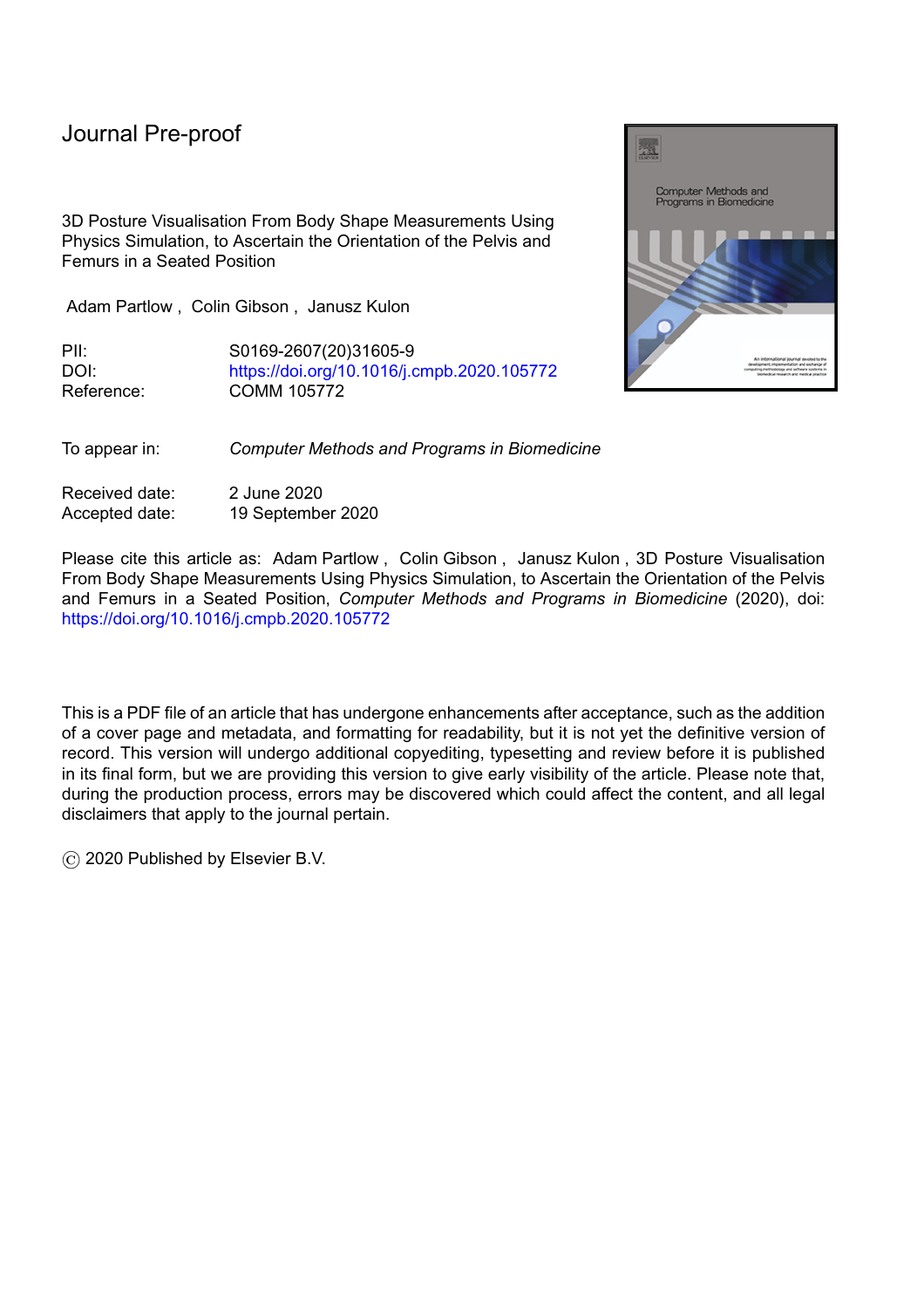

Figure 7: The overall accuracy for all permutations of the simulation excluding alpha rotations. Columns represent different values for friction; rows represent different values for elasticity and each square represents the accuracy at the initial position of the pelvis

Outside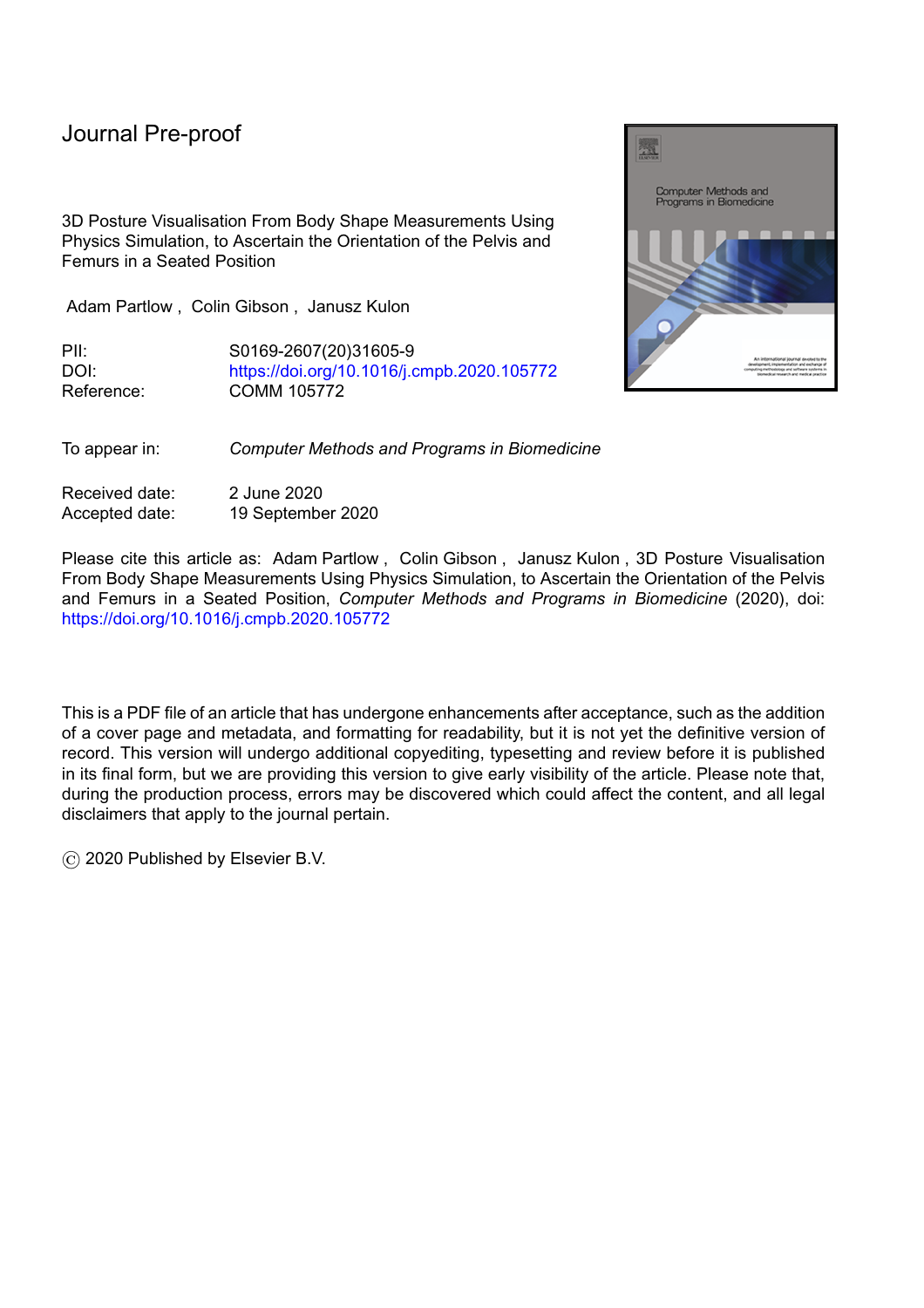(a) Normal sitting, the pelvis and femurs should be in a neutral position. The overlaid output of the algorithm shows the pelvis has rotated posteriorly and the femurs are positioned correctly distally. (b) Leaning Left, the pelvis should be orientated such that it is down on the left and the right femur abducted. The overlaid output shows that the pelvis is orientated correctly, the left femur is in the correct location however internally rotated, and the right femur is incorrectly orientated and positioned. (c) Obliquity, the pelvis should be orientated such that it is down on the left, the right femur should be extended, and the left femur flexed. The pelvis has rotated posteriorly but the orientation of the femurs is correct. (d) Obliquity, the pelvis should be orientated such that it is down on the left, the right femur should be extended, and the left femur flexed. The pelvis has rotated significantly posteriorly but the orientation of the femurs is correct.

Figure 8: Output of the algorithm for 4 of the 21 measurements included in this paper including a description of where the algorithm succeeded or failed.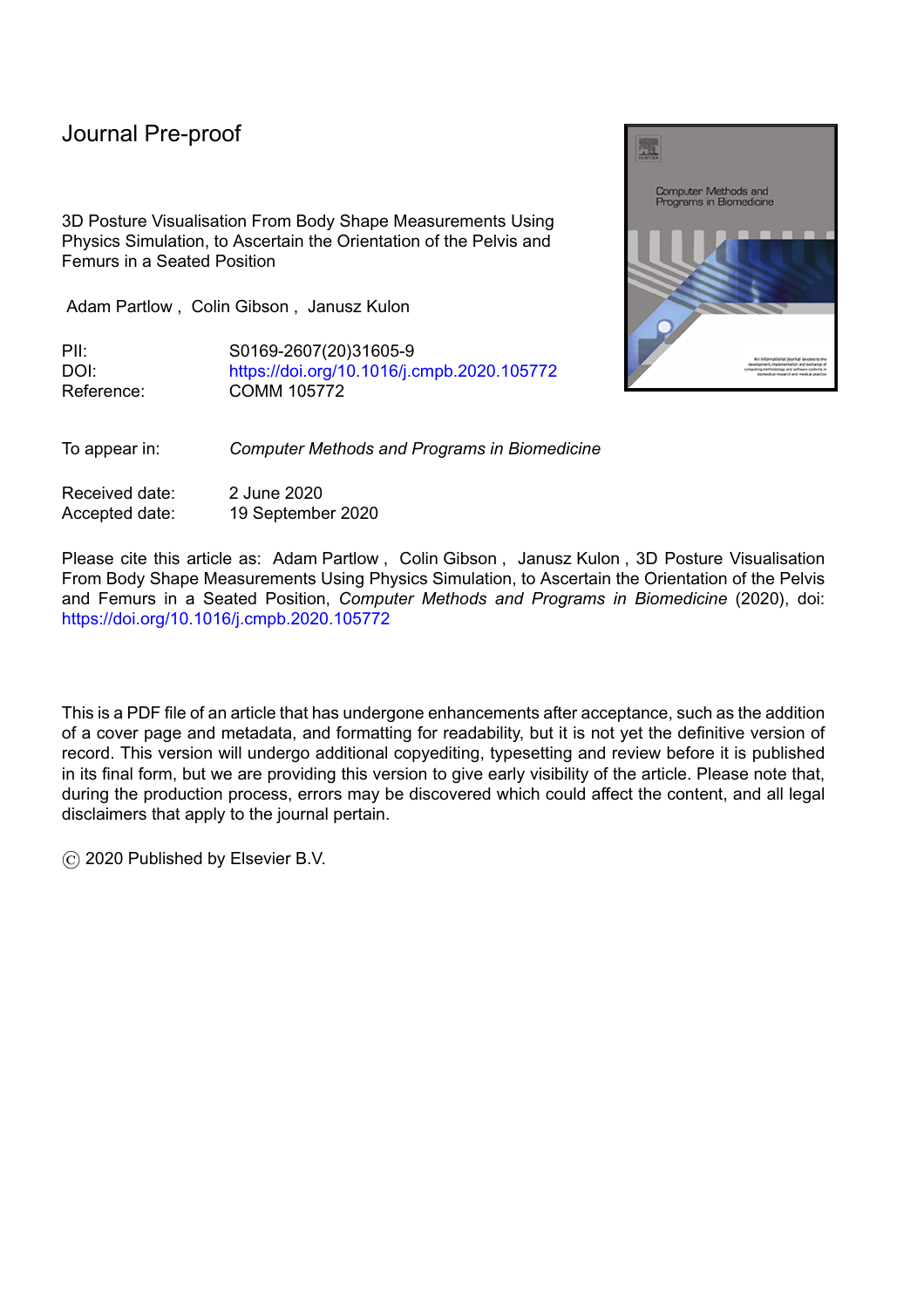#### **4 Discussion**

The low levels of accuracy for  $\cdot$ ;  $\cdot$ ; and suggest that there is a limitation in the orientation prediction when considering these features. Upon visually inspecting the resting positions of these features in different simulations it is clear that the lack of force (muscles and upper body) keeping the pelvis upright is causing significant posterior pelvic tilt and then hence a high degree of extension in both the left and right hip. Additionally, the centre of mass for a seated person does not usually lie within the pelvic region of an individual. Repeating the experiment with the upper body being modelled to support the pelvis may improve the simulation results regarding rotation about the axis as the pelvis will be supported by the spine interacting with the backrest.

The highest overall accuracy was obtained when the simulation parameters were and the starting location was The metres which can be seen in Table 4. The highest overall classification accuracy is obtained when the starting location of the simulation is near the centre of the cushion which is where a clinician will attempt to seat a patient in the CBM mechanical shape sensor when capturing a measurement. From this set of input data it is suggested that the closer to the final resting position the simulation starts the greater the accuracy of classification will be. When excluding -rotations from the results the accuracy improves to 92.8%. This was obtained when the simulation parameters were and and and the starting location was The metres.

In all cases the best results for accuracy were obtained when and . A high friction low elasticity cushion produced the best results in the simulation. An initial starting position of the pelvis of and and produced the greatest accuracies for classification. These coordinates are near to the medial posterior of the seat which is where a clinician would attempt to seat a patient when taking a measurement or positioning someone for postural management.

The highest per feature accuracy was obtained when classifying pelvic rotation, however, in this dataset there were no non-neutral measurements for pelvic rotation. This is a limitation of this study. The dataset used to test the model in this instance was reliant on healthy volunteers who found it difficult to position their pelvis in such a way that a clinician would deem it non-neutral. This has highlighted a limitation of studies involving healthy volunteers for populations which contain individuals with musculoskeletal conditions. Whilst it is possible to state that the algorithm produces accurate classifications of the rotation about the and axis for healthy volunteers this should be tested on people with a wide range of musculoskeletal conditions.

The greatest benefit which this piece of work has highlighted is that we are able to improve how posture is visualised and communicated within clinics as demonstrated by the images in Figure 8. The simulation outputs the position and orientation of the pelvis and femurs. By decomposing the matrices for the orientation and positions it is possible to calculate the relative angles of the femurs to the pelvis. This would allow clinicians to easily compare the difference in two measured postures visually and numerically. A clinician measuring a posture that is the most amount of correction that could be applied safely at two different points in time could compare whether the amount of correction applied has changed. With additional work this technique will allow the measurement of seated postures at different moments and therefore will allow comparison of seated postures over time. As described in the introduction there does not exist a simple objective measure for seated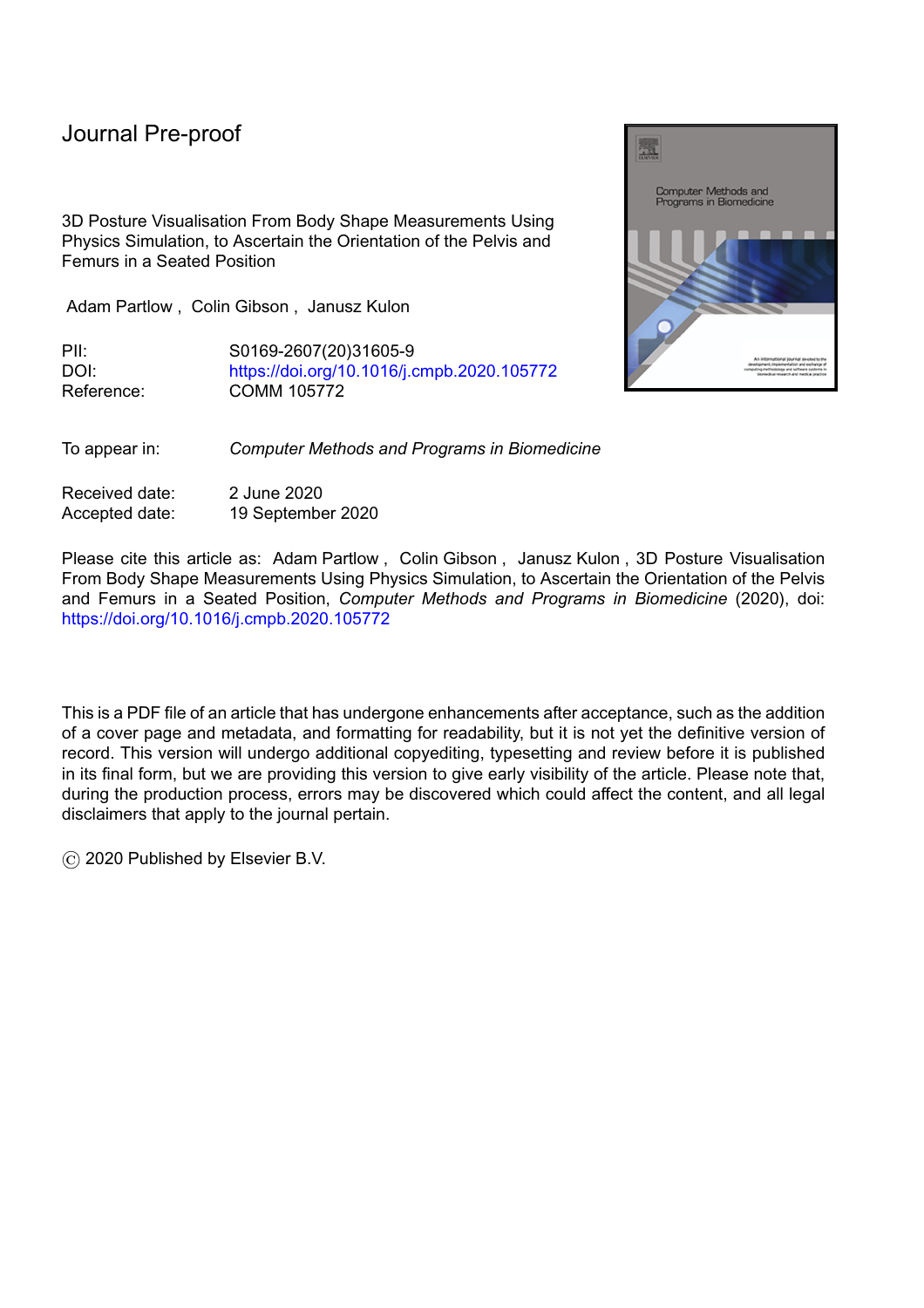posture and techniques rely greatly on subjective measures and extensive clinical assessments. Further development of this algorithm will allow a snapshot of an individual's seated posture to be captured objectively.

l

This study used a 50th percentile male pelvis for the simulation. Whilst this is suitable in this instance as both participants are male it would not be suitable for the wider wheelchair user population. Future work should also take into account the musculoskeletal differences between sexes as the current 50th percentile male skeleton would not be representative of the majority of wheelchair users. Differences between sexes include a change in shape but also a change in the centre of gravity whilst sitting. Both of these factors are major contributors to the output of a physics based simulation.

#### **5 Conclusion**

This study has shown that it is possible to simulate a seated position using physics simulation and obtain a classification for the orientation of the pelvis and femurs about the and axes. The orientation of the pelvis and femurs about the x axis is influenced by the lack of an upper body and/or muscles and/or the position of the centre of mass of the whole system being located inside the pelvis causing it to rotate posteriorly.

The simulation should be further developed to more accurately model the seated position of an individual in a seated position as it could provide significant clinical benefits, such as comparison of body shape measurements over time.

The CBM can also be used to capture the unsupported shape of a patient. The unsupported shape of a patient is the recorded body shape when sat in the CBM with no external forces affecting the posture other than gravity and the surface the patient is seated on. This unsupported shape would reflect the patient's habitual posture; how the patient would sit without their posture correcting/supporting seat. From the unsupported surface shape certain anatomical landmarks can be identified using anthropometric feature extraction techniques facilitating the objective and unobtrusive measurement of and comparison of postures over time using the CBM and a DHM.

Capturing seated posture in this way; recording it objectively; and visualising it will allow clinicians to more easily compare the effects of interventions over time and measure improvements.

#### **Acknowledgements**

All co-authors testify that our article entitled 3D Posture Visualisation From Body Shape Measurements Using Physics Simulation, to Ascertain the Orientation of the Pelvis and Femurs in a Seated Position submitted to Computer Methods and Programs in Biomedicine has not been published in whole or in part elsewhere is not currently being considered for publication in another journal and all authors have been personally and actively involved in substantive work leading to the manuscript, and will hold themselves jointly and individually responsible for its content. The University of South Wales Institutional Review Board approved the study protocol and both participants who were members of the research team gave their informed consent prior to taking part in the study.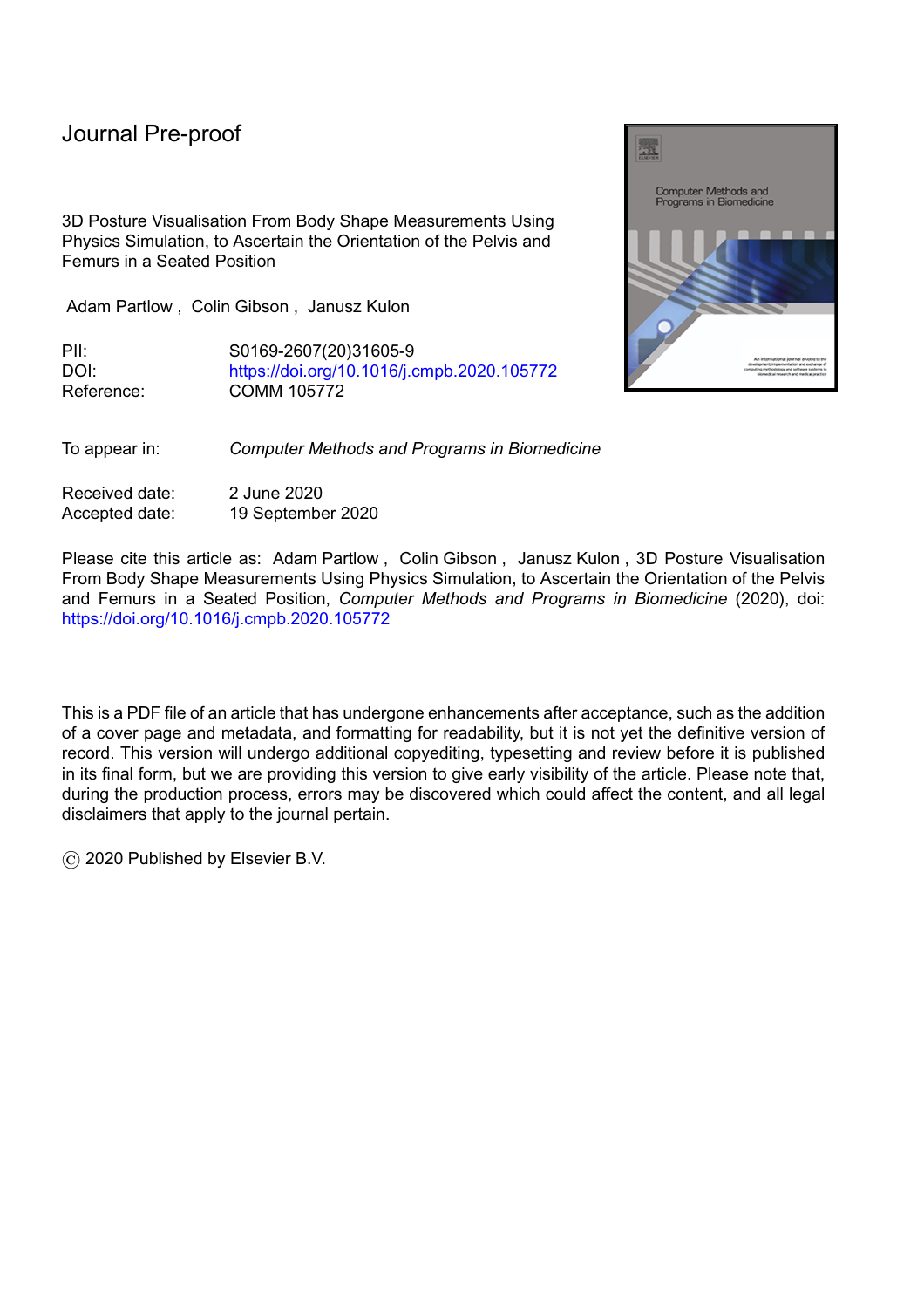This work was supported by the Computing and Digital Economy Research Institute (Ref: 3127 R606), University of South Wales, Pontypridd, CF37 1DL, UK.

**Conflict of interest**

All co-authors declare no conflict of interests.

l

**References**

[1] R. Aissaoui, M. Lacoste, J. Dansereau, Analysis of sliding and pressure distribution during a repositioning of persons in a simulator chair, IEEE Transactions on Neural Systems and Rehabilitation Engineering 9 (2) (2001) 215-224. doi:10.1109/7333.928581.

[2] A. D. Goodworth, Y.-H. Wu, D. Felmlee, E. Dunklebarger, S. Saavedra, A Trunk Support System to Identify Posture Control Mechanisms in Populations Lacking Independent Sitting, IEEE Transactions on Neural Systems and Rehabilitation Engineering 25 (1) (2017) 22-30. doi:10.1109/TNSRE.2016.2541021.

[3] I. Cikajlo, Z. Matjacic, Directionally Specific Objective Postural Response Assessment Tool for Treatment Evaluation in Stroke Patients, IEEE Transactions on Neural Systems and Rehabilitation Engineering 17 (1) (2009) 91-100. doi:10.1109/TNSRE.2008.2010477.

[4] R. Palisano, P. Rosenbaum, S. Walter, D. Russell, E. Wood, B. Galuppi, Development and reliability of a system to classify gross motor function in children with cerebral palsy, Developmental Medicine & Child Neurology 39 (4) (2008) 214-223. doi:10.1111/j.1469-8749.1997.tb07414.x.

[5] C. Ryf, A. Weymann, The neutral zero method - A principle of measuring joint function, Injury 26 (1995) 1-11. doi:10.1016/0020-1383(95)90116-7.

[6] C. Ryf, A. Weymann, Range of motion-AO neutral-0 method: Measurement and documentation, Thieme Medical Publishers, New York, NY, USA, 1999.

[7] A. Partlow, A Knowledge Based Engineering System for the Prescription and Manufacture of Custom Contoured Seating for Clients with Severe Musculoskeletal and Postural Conditions, Ph.D. thesis, University of South Wales, Faculty of Computing, Engineering and Science, Pontypridd, Wales, UK (May 2014).

[8] A. Partlow, C. Gibson, J. Kulon, I. Wilson, S. Wilcox, Pelvis feature extraction and classification of Cardiff body match rig base measurements for input into a knowledge-based system, Journal of Medical Engineering & Technology 36 (8) (2012) 399-406. doi:10.3109/03091902.2012.712202.

[9] M. Voysey, J. Kulon, A. Partlow, C. Gibson, P. Rogers, A parametric human body modelling tool for the representation of sitting posture of individuals with profound musculoskeletal deformities, in: 2nd UK Patient Specific Modelling IPEM Conference, 2014, p. 106.

[10] S. Delorme, Y. Petit, J. de Guise, H. Labelle, C.-E. Aubin, J. Dansereau, Assessment of the 3-d reconstruction and high-resolution geometrical modeling of the human skeletal trunk from 2-d radiographic images, IEEE Transactions on Biomedical Engineering 50 (8) (2003) 989-998. doi:10.1109/TBME.2003.814525.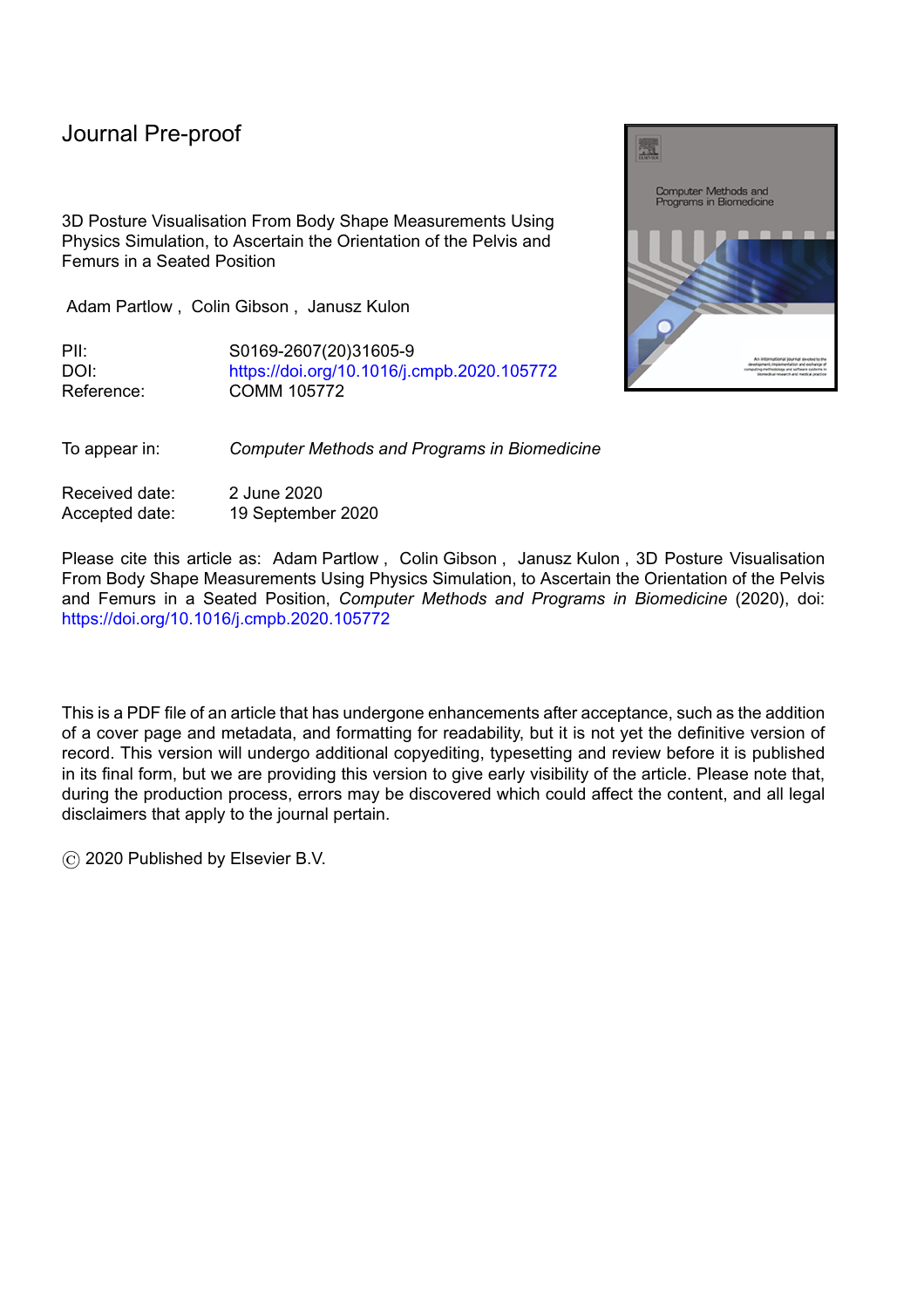[11] M.-J. J. Wang, W.-Y. Wu, K.-C. Lin, S.-N. Yang, J.-M. Lu, Automated anthropometric data collection from three-dimensional digital human models, The International Journal of Advanced Manufacturing Technology 32 (1-2) (2007) 109-115. doi:10.1007/s00170-005-0307-3.

l

[12] A. Pfister, A. M. West, S. Bronner, J. A. Noah, Comparative Abilities of Microsoft Kinect and Vicon 3D Motion Capture for Gait Analysis, Journal of Medical Engineering & Technology 38 (5) (2014) 274-280. doi:10.3109/03091902.2014.909540.

[13] B. André, J. Dansereau, H. Labelle, Optimized vertical stereo base radiographic setup for the clinical three-dimensional reconstruction of the human spine, Journal of Biomechanics 27 (8) (1994) 1023-1035. doi:10.1016/0021-9290(94)90219-4.

[14] Y.-L. Lin, M.-J. J. Wang, Constructing 3D human model from front and side images, Expert Systems with Applications 39 (5) (2012) 5012-5018. doi:10.1016/j.eswa.2011.10.011.

[15] H. Labelle, J. Dansereau, C. Bellefleur, B. Poitras, C. H. Rivard, I. A. Stokes, J. de Guise, Comparison Between Preoperative and Postoperative Three-dimensional Reconstructions of Idiopathic Scoliosis with the Cotrel-Dubousset Procedure, Spine 20 (23) (1995) 2487-2492.

[16] J. Kulon, M. Voysey, A. Partlow, P. Rogers, C. Gibson, Development of a system for anatomical landmarks localization using ultrasonic signals, in: 2016 IEEE International Symposium on Medical Measurements and Applications (MeMeA), IEEE, Benevento, Italy, 2016, pp. 1-6. doi:10.1109/MeMeA.2016.7533764.

[17] S. J. Hillman, J. Hollington, A quantitative measurement method for comparison of seated postures, Medical Engineering & Physics 38 (5) (2016) 485-489. doi:10.1016/j.medengphy.2016.01.008.

[18] S. Haigh, J. Kulon, A. Partlow, P. Rogers, C. Gibson, A Robust Algorithm for Classification and Rejection of NLOS Signals in Narrowband Ultrasonic Localization Systems, IEEE Transactions on Instrumentation and Measurement (2018) 1-10. doi:10.1109/TIM.2018.2853878.

[19] J. Kulon, A. Partlow, C. Gibson, I. Wilson, S. Wilcox, Rule-based algorithm for the classification of sitting postures in the sagittal plane from the Cardiff Body Match measurement system, Journal of Medical Engineering & Technology 38 (1) (2014) 5-15. doi:10.3109/03091902.2013.844208.

[20] ROHO Inc., ROHO Quadtro Select High Profile Cushion (2016).

[21] E. Coumans, Bullet Physics Library (2015).

[22] Y. R. Serpa, M. A. F. Rodrigues, Parallelizing Broad Phase Collision Detection for Animation in Games: A Performance Comparison of CPU and GPU Algorithms, in: 2014 Brazilian Symposium on Computer Games and Digital Entertainment, Vol. 2014-Decem, IEEE, 2014, pp. 80-88. doi:10.1109/SBGAMES.2014.29.

[23] A. Visser, Z. Pan, S. van Duin, Bounding sphere CAD model simplification for efficient collision detection in offline programming, in: 2015 IEEE International Conference on Cyber Technology in Automation, Control, and Intelligent Systems (CYBER), IEEE, Shenyang, China, 2015, pp. 2029-2035. doi:10.1109/CYBER.2015.7288260.